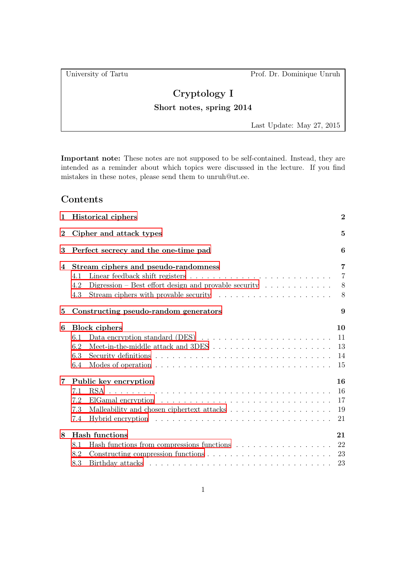University of Tartu Prof. Dr. Dominique Unruh

## Cryptology I

## Short notes, spring 2014

Last Update: May 27, 2015

Important note: These notes are not supposed to be self-contained. Instead, they are intended as a reminder about which topics were discussed in the lecture. If you find mistakes in these notes, please send them to unruh@ut.ee.

## Contents

| $\mathbf{1}$   | <b>Historical ciphers</b>                                                                                                                        |                                            |  |  |  |  |  |  |  |  |  |  |  |
|----------------|--------------------------------------------------------------------------------------------------------------------------------------------------|--------------------------------------------|--|--|--|--|--|--|--|--|--|--|--|
| $\bf{2}$       | Cipher and attack types                                                                                                                          |                                            |  |  |  |  |  |  |  |  |  |  |  |
| 3              | Perfect secrecy and the one-time pad                                                                                                             |                                            |  |  |  |  |  |  |  |  |  |  |  |
| 4              | Stream ciphers and pseudo-randomness<br>4.1<br>Digression – Best effort design and provable security $\ldots \ldots \ldots \ldots$<br>4.2<br>4.3 | $\overline{7}$<br>$\overline{7}$<br>8<br>8 |  |  |  |  |  |  |  |  |  |  |  |
| 5              | Constructing pseudo-random generators                                                                                                            |                                            |  |  |  |  |  |  |  |  |  |  |  |
| 6              | <b>Block</b> ciphers<br>Data encryption standard (DES) $\ldots \ldots \ldots \ldots \ldots \ldots \ldots \ldots$<br>6.1<br>6.2<br>6.3<br>6.4     | 10<br>11<br>13<br>14<br>15                 |  |  |  |  |  |  |  |  |  |  |  |
| $\overline{7}$ | Public key encryption<br>7.1<br>7.2<br>7.3<br>Hybrid encryption $\dots \dots \dots \dots \dots \dots \dots \dots \dots \dots \dots \dots$<br>7.4 | 16<br>16<br>17<br>19<br>21                 |  |  |  |  |  |  |  |  |  |  |  |
| 8              | Hash functions<br>8.1<br>8.2<br>8.3                                                                                                              | 21<br>22<br>23<br>23                       |  |  |  |  |  |  |  |  |  |  |  |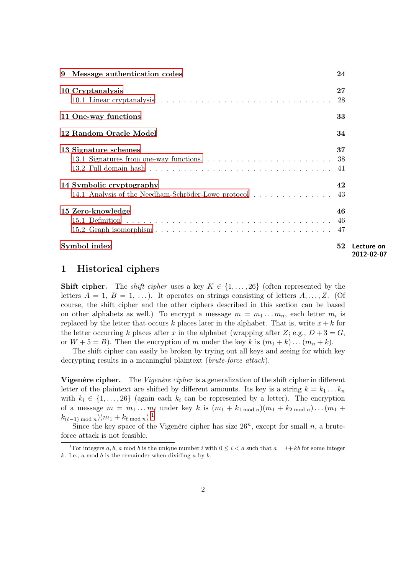<span id="page-1-2"></span>

|   | Symbol index                                                                       | 52     | Lecture on<br>2012-02-07 |
|---|------------------------------------------------------------------------------------|--------|--------------------------|
|   | 15 Zero-knowledge                                                                  | 46     |                          |
|   | 14 Symbolic cryptography<br>14.1 Analysis of the Needham-Schröder-Lowe protocol 43 | 42     |                          |
|   | 13 Signature schemes                                                               | 37     |                          |
|   | 12 Random Oracle Model                                                             | 34     |                          |
|   | 11 One-way functions                                                               | 33     |                          |
|   | 10 Cryptanalysis                                                                   | $27\,$ |                          |
| 9 | Message authentication codes                                                       | 24     |                          |

## <span id="page-1-0"></span>1 Historical ciphers

**Shift cipher.** The *shift cipher* uses a key  $K \in \{1, \ldots, 26\}$  (often represented by the letters  $A = 1, B = 1, \ldots$ ). It operates on strings consisting of letters  $A, \ldots, Z$ . (Of course, the shift cipher and the other ciphers described in this section can be based on other alphabets as well.) To encrypt a message  $m = m_1 ... m_n$ , each letter  $m_i$  is replaced by the letter that occurs k places later in the alphabet. That is, write  $x + k$  for the letter occurring k places after x in the alphabet (wrapping after Z; e.g.,  $D+3=G$ , or  $W + 5 = B$ ). Then the encryption of m under the key k is  $(m_1 + k) \dots (m_n + k)$ .

The shift cipher can easily be broken by trying out all keys and seeing for which key decrypting results in a meaningful plaintext *(brute-force attack)*.

Vigenère cipher. The Vigenère cipher is a generalization of the shift cipher in different letter of the plaintext are shifted by different amounts. Its key is a string  $k = k_1 \ldots k_n$ with  $k_i \in \{1, \ldots, 26\}$  (again each  $k_i$  can be represented by a letter). The encryption of a message  $m = m_1 \dots m_\ell$  under key k is  $(m_1 + k_1 \mod n)(m_1 + k_2 \mod n) \dots (m_1 + k_n)$  $k_{(\ell-1) \bmod n}$  $k_{(\ell-1) \bmod n}$  $k_{(\ell-1) \bmod n}$  $(m_1 + k_{\ell \bmod n})$ .<sup>1</sup>

Since the key space of the Vigenère cipher has size  $26^n$ , except for small n, a bruteforce attack is not feasible.

<span id="page-1-1"></span><sup>&</sup>lt;sup>1</sup>For integers a, b, a mod b is the unique number i with  $0 \le i < a$  such that  $a = i + kb$  for some integer k. I.e.,  $a \mod b$  is the remainder when dividing  $a$  by  $b$ .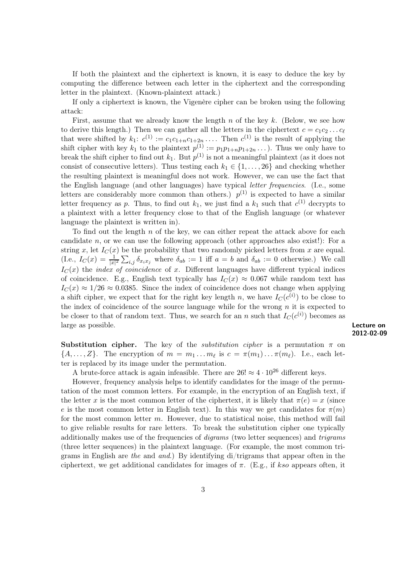<span id="page-2-0"></span>If both the plaintext and the ciphertext is known, it is easy to deduce the key by computing the difference between each letter in the ciphertext and the corresponding letter in the plaintext. (Known-plaintext attack.)

If only a ciphertext is known, the Vigenère cipher can be broken using the following attack:

First, assume that we already know the length n of the key  $k$ . (Below, we see how to derive this length.) Then we can gather all the letters in the ciphertext  $c = c_1c_2 \ldots c_\ell$ that were shifted by  $k_1: c^{(1)} := c_1 c_{1+n} c_{1+2n} \ldots$  Then  $c^{(1)}$  is the result of applying the shift cipher with key  $k_1$  to the plaintext  $p^{(1)} := p_1 p_{1+n} p_{1+2n} \dots$ ). Thus we only have to break the shift cipher to find out  $k_1$ . But  $p^{(1)}$  is not a meaningful plaintext (as it does not consist of consecutive letters). Thus testing each  $k_1 \in \{1, \ldots, 26\}$  and checking whether the resulting plaintext is meaningful does not work. However, we can use the fact that the English language (and other languages) have typical *letter frequencies.* (I.e., some letters are considerably more common than others.)  $p^{(1)}$  is expected to have a similar letter frequency as p. Thus, to find out  $k_1$ , we just find a  $k_1$  such that  $c^{(1)}$  decrypts to a plaintext with a letter frequency close to that of the English language (or whatever language the plaintext is written in).

<span id="page-2-2"></span><span id="page-2-1"></span>To find out the length  $n$  of the key, we can either repeat the attack above for each candidate n, or we can use the following approach (other approaches also exist!): For a string x, let  $I_C(x)$  be the probability that two randomly picked letters from x are equal. (I.e.,  $I_C(x) = \frac{1}{|x|^2} \sum_{i,j} \delta_{x_i x_j}$  where  $\delta_{ab} := 1$  iff  $a = b$  and  $\delta_{ab} := 0$  otherwise.) We call  $I<sub>C</sub>(x)$  the *index of coincidence* of x. Different languages have different typical indices of coincidence. E.g., English text typically has  $I_C(x) \approx 0.067$  while random text has  $I<sub>C</sub>(x) \approx 1/26 \approx 0.0385$ . Since the index of coincidence does not change when applying a shift cipher, we expect that for the right key length n, we have  $I_C(c^{(i)})$  to be close to the index of coincidence of the source language while for the wrong  $n$  it is expected to be closer to that of random text. Thus, we search for an n such that  $I_C(c^{(i)})$  becomes as large as possible. **Lecture on** the contract of the contract of the contract of the contract of the contract of the contract of the contract of the contract of the contract of the contract of the contract of the contract o

2012-02-09

**Substitution cipher.** The key of the *substitution cipher* is a permutation  $\pi$  on  $\{A, \ldots, Z\}$ . The encryption of  $m = m_1 \ldots m_\ell$  is  $c = \pi(m_1) \ldots \pi(m_\ell)$ . I.e., each letter is replaced by its image under the permutation.

A brute-force attack is again infeasible. There are  $26! \approx 4 \cdot 10^{26}$  different keys.

However, frequency analysis helps to identify candidates for the image of the permutation of the most common letters. For example, in the encryption of an English text, if the letter x is the most common letter of the ciphertext, it is likely that  $\pi(e) = x$  (since e is the most common letter in English text). In this way we get candidates for  $\pi(m)$ for the most common letter  $m$ . However, due to statistical noise, this method will fail to give reliable results for rare letters. To break the substitution cipher one typically additionally makes use of the frequencies of *digrams* (two letter sequences) and *trigrams* (three letter sequences) in the plaintext language. (For example, the most common trigrams in English are the and and.) By identifying di/trigrams that appear often in the ciphertext, we get additional candidates for images of  $\pi$ . (E.g., if kso appears often, it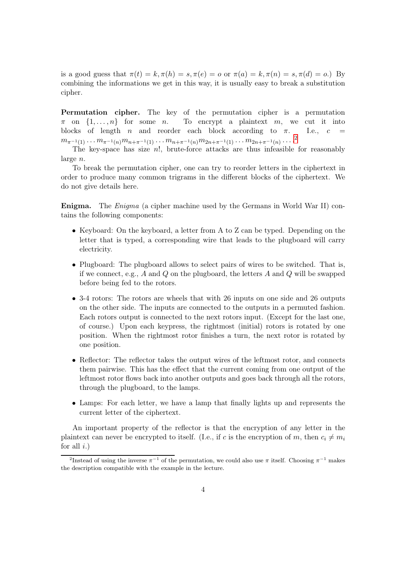<span id="page-3-1"></span>is a good guess that  $\pi(t) = k, \pi(h) = s, \pi(e) = o$  or  $\pi(a) = k, \pi(n) = s, \pi(d) = o$ .) By combining the informations we get in this way, it is usually easy to break a substitution cipher.

Permutation cipher. The key of the permutation cipher is a permutation  $\pi$  on  $\{1, \ldots, n\}$  for some *n*. To encrypt a plaintext *m*, we cut it into blocks of length *n* and reorder each block according to  $\pi$ . I.e.,  $c =$ blocks of length n and reorder each block according to  $\pi$ .  $m_{\pi^{-1}(1)}\dots m_{\pi^{-1}(n)}m_{n+\pi^{-1}(1)}\dots m_{n+\pi^{-1}(n)}m_{2n+\pi^{-1}(1)}\dots m_{2n+\pi^{-1}(n)}\dots\cdot^2$  $m_{\pi^{-1}(1)}\dots m_{\pi^{-1}(n)}m_{n+\pi^{-1}(1)}\dots m_{n+\pi^{-1}(n)}m_{2n+\pi^{-1}(1)}\dots m_{2n+\pi^{-1}(n)}\dots\cdot^2$  $m_{\pi^{-1}(1)}\dots m_{\pi^{-1}(n)}m_{n+\pi^{-1}(1)}\dots m_{n+\pi^{-1}(n)}m_{2n+\pi^{-1}(1)}\dots m_{2n+\pi^{-1}(n)}\dots\cdot^2$ 

The key-space has size  $n!$ , brute-force attacks are thus infeasible for reasonably large n.

To break the permutation cipher, one can try to reorder letters in the ciphertext in order to produce many common trigrams in the different blocks of the ciphertext. We do not give details here.

Enigma. The Enigma (a cipher machine used by the Germans in World War II) contains the following components:

- Keyboard: On the keyboard, a letter from A to Z can be typed. Depending on the letter that is typed, a corresponding wire that leads to the plugboard will carry electricity.
- Plugboard: The plugboard allows to select pairs of wires to be switched. That is, if we connect, e.g., A and Q on the plugboard, the letters A and Q will be swapped before being fed to the rotors.
- 3-4 rotors: The rotors are wheels that with 26 inputs on one side and 26 outputs on the other side. The inputs are connected to the outputs in a permuted fashion. Each rotors output is connected to the next rotors input. (Except for the last one, of course.) Upon each keypress, the rightmost (initial) rotors is rotated by one position. When the rightmost rotor finishes a turn, the next rotor is rotated by one position.
- Reflector: The reflector takes the output wires of the leftmost rotor, and connects them pairwise. This has the effect that the current coming from one output of the leftmost rotor flows back into another outputs and goes back through all the rotors, through the plugboard, to the lamps.
- Lamps: For each letter, we have a lamp that finally lights up and represents the current letter of the ciphertext.

An important property of the reflector is that the encryption of any letter in the plaintext can never be encrypted to itself. (I.e., if c is the encryption of m, then  $c_i \neq m_i$ for all  $i$ .)

<span id="page-3-0"></span><sup>&</sup>lt;sup>2</sup>Instead of using the inverse  $\pi^{-1}$  of the permutation, we could also use  $\pi$  itself. Choosing  $\pi^{-1}$  makes the description compatible with the example in the lecture.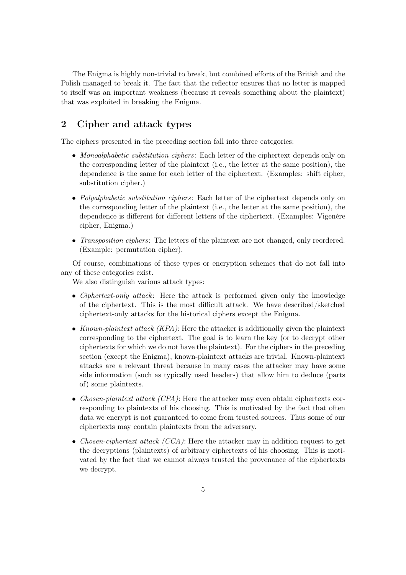<span id="page-4-2"></span>The Enigma is highly non-trivial to break, but combined efforts of the British and the Polish managed to break it. The fact that the reflector ensures that no letter is mapped to itself was an important weakness (because it reveals something about the plaintext) that was exploited in breaking the Enigma.

## <span id="page-4-0"></span>2 Cipher and attack types

The ciphers presented in the preceding section fall into three categories:

- Monoalphabetic substitution ciphers: Each letter of the ciphertext depends only on the corresponding letter of the plaintext (i.e., the letter at the same position), the dependence is the same for each letter of the ciphertext. (Examples: shift cipher, substitution cipher.)
- Polyalphabetic substitution ciphers: Each letter of the ciphertext depends only on the corresponding letter of the plaintext (i.e., the letter at the same position), the dependence is different for different letters of the ciphertext. (Examples: Vigenère cipher, Enigma.)
- Transposition ciphers: The letters of the plaintext are not changed, only reordered. (Example: permutation cipher).

Of course, combinations of these types or encryption schemes that do not fall into any of these categories exist.

<span id="page-4-1"></span>We also distinguish various attack types:

- Ciphertext-only attack: Here the attack is performed given only the knowledge of the ciphertext. This is the most difficult attack. We have described/sketched ciphertext-only attacks for the historical ciphers except the Enigma.
- Known-plaintext attack (KPA): Here the attacker is additionally given the plaintext corresponding to the ciphertext. The goal is to learn the key (or to decrypt other ciphertexts for which we do not have the plaintext). For the ciphers in the preceding section (except the Enigma), known-plaintext attacks are trivial. Known-plaintext attacks are a relevant threat because in many cases the attacker may have some side information (such as typically used headers) that allow him to deduce (parts of) some plaintexts.
- Chosen-plaintext attack (CPA): Here the attacker may even obtain ciphertexts corresponding to plaintexts of his choosing. This is motivated by the fact that often data we encrypt is not guaranteed to come from trusted sources. Thus some of our ciphertexts may contain plaintexts from the adversary.
- Chosen-ciphertext attack (CCA): Here the attacker may in addition request to get the decryptions (plaintexts) of arbitrary ciphertexts of his choosing. This is motivated by the fact that we cannot always trusted the provenance of the ciphertexts we decrypt.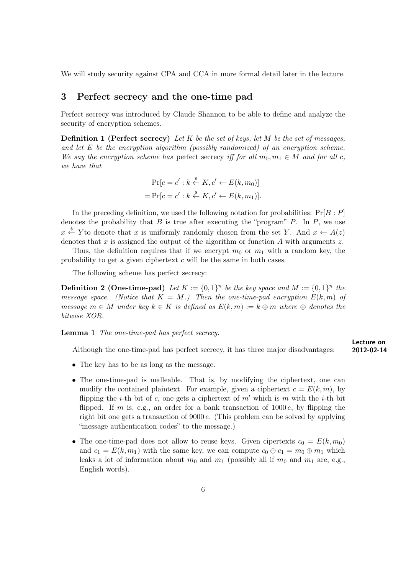<span id="page-5-1"></span><span id="page-5-0"></span>We will study security against CPA and CCA in more formal detail later in the lecture.

## 3 Perfect secrecy and the one-time pad

Perfect secrecy was introduced by Claude Shannon to be able to define and analyze the security of encryption schemes.

**Definition 1 (Perfect secrecy)** Let K be the set of keys, let M be the set of messages, and let E be the encryption algorithm (possibly randomized) of an encryption scheme. We say the encryption scheme has perfect secrecy iff for all  $m_0, m_1 \in M$  and for all c, we have that

$$
\Pr[c = c' : k \stackrel{\$}{\leftarrow} K, c' \leftarrow E(k, m_0)]
$$
  
= 
$$
\Pr[c = c' : k \stackrel{\$}{\leftarrow} K, c' \leftarrow E(k, m_1)].
$$

<span id="page-5-2"></span>In the preceding definition, we used the following notation for probabilities:  $Pr[B : P]$ denotes the probability that  $B$  is true after executing the "program"  $P$ . In  $P$ , we use  $x \stackrel{\hspace{0.1em}\mathsf{\scriptscriptstyle\$}}{\leftarrow} Y$  to denote that x is uniformly randomly chosen from the set Y. And  $x \leftarrow A(z)$ denotes that  $x$  is assigned the output of the algorithm or function  $A$  with arguments  $z$ .

Thus, the definition requires that if we encrypt  $m_0$  or  $m_1$  with a random key, the probability to get a given ciphertext  $c$  will be the same in both cases.

The following scheme has perfect secrecy:

**Definition 2 (One-time-pad)** Let  $K := \{0,1\}^n$  be the key space and  $M := \{0,1\}^n$  the message space. (Notice that  $K = M$ .) Then the one-time-pad encryption  $E(k, m)$  of message  $m \in M$  under key  $k \in K$  is defined as  $E(k, m) := k \oplus m$  where  $\oplus$  denotes the bitwise XOR.

**Lemma 1** The one-time-pad has perfect secrecy.

Although the one-time-pad has perfect secrecy, it has three major disadvantages: 2012-02-14

<span id="page-5-5"></span><span id="page-5-4"></span><span id="page-5-3"></span>Lecture on

- The key has to be as long as the message.
- The one-time-pad is malleable. That is, by modifying the ciphertext, one can modify the contained plaintext. For example, given a ciphertext  $c = E(k, m)$ , by flipping the *i*-th bit of c, one gets a ciphertext of  $m'$  which is m with the *i*-th bit flipped. If m is, e.g., an order for a bank transaction of  $1000 e$ , by flipping the right bit one gets a transaction of  $9000 e$ . (This problem can be solved by applying "message authentication codes" to the message.)
- The one-time-pad does not allow to reuse keys. Given cipertexts  $c_0 = E(k, m_0)$ and  $c_1 = E(k, m_1)$  with the same key, we can compute  $c_0 \oplus c_1 = m_0 \oplus m_1$  which leaks a lot of information about  $m_0$  and  $m_1$  (possibly all if  $m_0$  and  $m_1$  are, e.g., English words).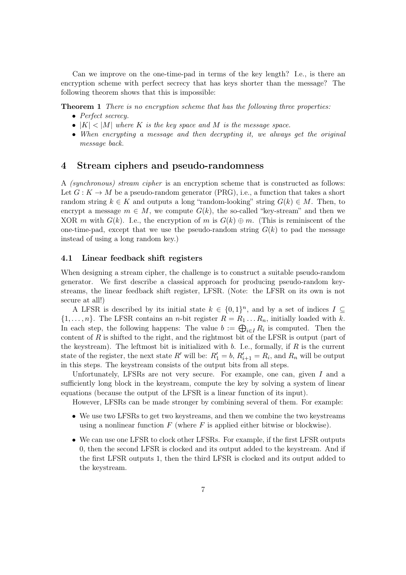<span id="page-6-2"></span>Can we improve on the one-time-pad in terms of the key length? I.e., is there an encryption scheme with perfect secrecy that has keys shorter than the message? The following theorem shows that this is impossible:

**Theorem 1** There is no encryption scheme that has the following three properties:

- Perfect secrecy.
- $|K| < |M|$  where K is the key space and M is the message space.
- When encrypting a message and then decrypting it, we always get the original message back.

## <span id="page-6-0"></span>4 Stream ciphers and pseudo-randomness

A (synchronous) stream cipher is an encryption scheme that is constructed as follows: Let  $G: K \to M$  be a pseudo-random generator (PRG), i.e., a function that takes a short random string  $k \in K$  and outputs a long "random-looking" string  $G(k) \in M$ . Then, to encrypt a message  $m \in M$ , we compute  $G(k)$ , the so-called "key-stream" and then we XOR m with  $G(k)$ . I.e., the encryption of m is  $G(k) \oplus m$ . (This is reminiscent of the one-time-pad, except that we use the pseudo-random string  $G(k)$  to pad the message instead of using a long random key.)

#### <span id="page-6-1"></span>4.1 Linear feedback shift registers

When designing a stream cipher, the challenge is to construct a suitable pseudo-random generator. We first describe a classical approach for producing pseudo-random keystreams, the linear feedback shift register, LFSR. (Note: the LFSR on its own is not secure at all!)

A LFSR is described by its initial state  $k \in \{0,1\}^n$ , and by a set of indices  $I \subseteq$  $\{1,\ldots,n\}$ . The LFSR contains an *n*-bit register  $R = R_1 \ldots R_n$ , initially loaded with k. In each step, the following happens: The value  $b := \bigoplus_{i \in I} R_i$  is computed. Then the content of R is shifted to the right, and the rightmost bit of the LFSR is output (part of the keystream). The leftmost bit is initialized with  $b$ . I.e., formally, if  $R$  is the current state of the register, the next state  $R'$  will be:  $R'_1 = b, R'_{i+1} = R_i$ , and  $R_n$  will be output in this steps. The keystream consists of the output bits from all steps.

Unfortunately, LFSRs are not very secure. For example, one can, given  $I$  and a sufficiently long block in the keystream, compute the key by solving a system of linear equations (because the output of the LFSR is a linear function of its input).

However, LFSRs can be made stronger by combining several of them. For example:

- We use two LFSRs to get two keystreams, and then we combine the two keystreams using a nonlinear function  $F$  (where  $F$  is applied either bitwise or blockwise).
- We can use one LFSR to clock other LFSRs. For example, if the first LFSR outputs 0, then the second LFSR is clocked and its output added to the keystream. And if the first LFSR outputs 1, then the third LFSR is clocked and its output added to the keystream.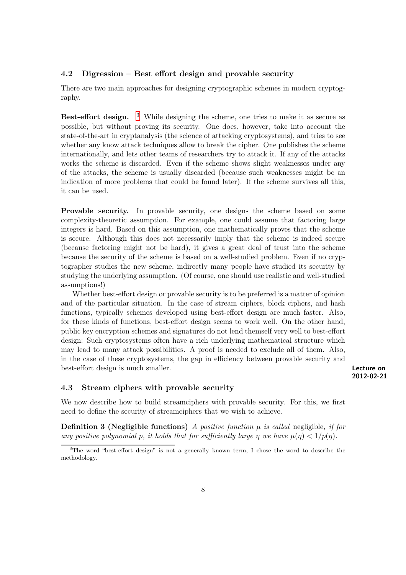#### <span id="page-7-4"></span><span id="page-7-0"></span>4.2 Digression – Best effort design and provable security

There are two main approaches for designing cryptographic schemes in modern cryptography.

<span id="page-7-3"></span>**Best-effort design.** <sup>[3](#page-7-2)</sup> While designing the scheme, one tries to make it as secure as possible, but without proving its security. One does, however, take into account the state-of-the-art in cryptanalysis (the science of attacking cryptosystems), and tries to see whether any know attack techniques allow to break the cipher. One publishes the scheme internationally, and lets other teams of researchers try to attack it. If any of the attacks works the scheme is discarded. Even if the scheme shows slight weaknesses under any of the attacks, the scheme is usually discarded (because such weaknesses might be an indication of more problems that could be found later). If the scheme survives all this, it can be used.

Provable security. In provable security, one designs the scheme based on some complexity-theoretic assumption. For example, one could assume that factoring large integers is hard. Based on this assumption, one mathematically proves that the scheme is secure. Although this does not necessarily imply that the scheme is indeed secure (because factoring might not be hard), it gives a great deal of trust into the scheme because the security of the scheme is based on a well-studied problem. Even if no cryptographer studies the new scheme, indirectly many people have studied its security by studying the underlying assumption. (Of course, one should use realistic and well-studied assumptions!)

Whether best-effort design or provable security is to be preferred is a matter of opinion and of the particular situation. In the case of stream ciphers, block ciphers, and hash functions, typically schemes developed using best-effort design are much faster. Also, for these kinds of functions, best-effort design seems to work well. On the other hand, public key encryption schemes and signatures do not lend themself very well to best-effort design: Such cryptosystems often have a rich underlying mathematical structure which may lead to many attack possibilities. A proof is needed to exclude all of them. Also, in the case of these cryptosystems, the gap in efficiency between provable security and best-effort design is much smaller. **Lecture on Lecture on** 

#### <span id="page-7-1"></span>4.3 Stream ciphers with provable security

We now describe how to build streamciphers with provable security. For this, we first need to define the security of streamciphers that we wish to achieve.

**Definition 3 (Negligible functions)** A positive function  $\mu$  is called negligible, if for any positive polynomial p, it holds that for sufficiently large  $\eta$  we have  $\mu(\eta) < 1/p(\eta)$ .

<sup>2012-02-21</sup>

<span id="page-7-2"></span><sup>&</sup>lt;sup>3</sup>The word "best-effort design" is not a generally known term, I chose the word to describe the methodology.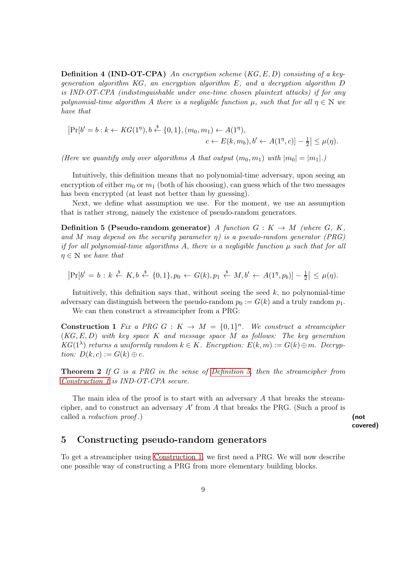<span id="page-8-5"></span>**Definition 4 (IND-OT-CPA)** An encryption scheme  $(KG, E, D)$  consisting of a keygeneration algorithm KG, an encryption algorithm E, and a decryption algorithm D is IND-OT-CPA (indistinguishable under one-time chosen plaintext attacks) if for any polynomial-time algorithm A there is a negligible function  $\mu$ , such that for all  $\eta \in \mathbb{N}$  we have that

$$
|\Pr[b' = b : k \leftarrow KG(1^n), b \stackrel{\$}{\leftarrow} \{0, 1\}, (m_0, m_1) \leftarrow A(1^n),
$$
  
 $c \leftarrow E(k, m_b), b' \leftarrow A(1^n, c)] - \frac{1}{2} | \leq \mu(\eta).$ 

(Here we quantify only over algorithms A that output  $(m_0, m_1)$  with  $|m_0| = |m_1|$ .)

Intuitively, this definition means that no polynomial-time adversary, upon seeing an encryption of either  $m_0$  or  $m_1$  (both of his choosing), can guess which of the two messages has been encrypted (at least not better than by guessing).

<span id="page-8-1"></span>Next, we define what assumption we use. For the moment, we use an assumption that is rather strong, namely the existence of pseudo-random generators.

**Definition 5 (Pseudo-random generator)** A function  $G: K \to M$  (where  $G, K$ , and M may depend on the security parameter  $\eta$ ) is a pseudo-random generator (PRG) if for all polynomial-time algorithms A, there is a negligible function  $\mu$  such that for all  $\eta \in \mathbb{N}$  we have that

$$
|\Pr[b' = b : k \stackrel{\$}{\leftarrow} K, b \stackrel{\$}{\leftarrow} \{0,1\}, p_0 \leftarrow G(k), p_1 \stackrel{\$}{\leftarrow} M, b' \leftarrow A(1^{\eta}, p_b)] - \frac{1}{2}| \leq \mu(\eta).
$$

Intuitively, this definition says that, without seeing the seed  $k$ , no polynomial-time adversary can distinguish between the pseudo-random  $p_0 := G(k)$  and a truly random  $p_1$ .

<span id="page-8-2"></span>We can then construct a streamcipher from a PRG:

**Construction 1** Fix a PRG G :  $K \to M = \{0, 1\}^n$ . We construct a streamcipher  $(KG, E, D)$  with key space K and message space M as follows: The key generation  $KG(1<sup>\lambda</sup>)$  returns a uniformly random  $k \in K$ . Encryption:  $E(k, m) := G(k) \oplus m$ . Decryption:  $D(k, c) := G(k) \oplus c$ .

<span id="page-8-3"></span>**Theorem 2** If G is a PRG in the sense of [Definition 5,](#page-8-1) then the streamcipher from [Construction 1](#page-8-2) is IND-OT-CPA secure.

The main idea of the proof is to start with an adversary  $A$  that breaks the streamcipher, and to construct an adversary  $A'$  from  $A$  that breaks the PRG. (Such a proof is called a *reduction proof* .) (not

covered)

## <span id="page-8-0"></span>5 Constructing pseudo-random generators

<span id="page-8-4"></span>To get a streamcipher using [Construction 1,](#page-8-2) we first need a PRG. We will now describe one possible way of constructing a PRG from more elementary building blocks.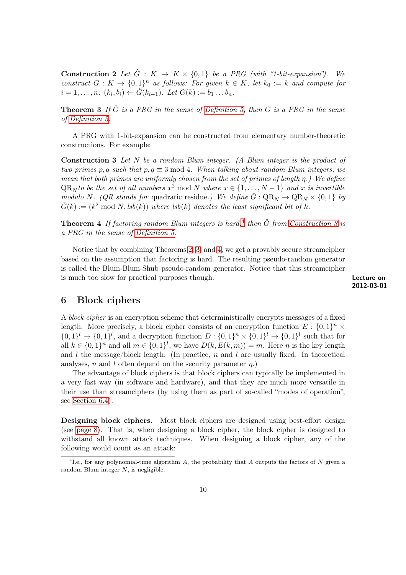<span id="page-9-5"></span>**Construction 2** Let  $\hat{G}$  :  $K \to K \times \{0, 1\}$  be a PRG (with "1-bit-expansion"). We construct  $G: K \to \{0,1\}^n$  as follows: For given  $k \in K$ , let  $k_0 := k$  and compute for  $i = 1, \ldots, n: (k_i, b_i) \leftarrow \hat{G}(k_{i-1}).$  Let  $G(k) := b_1 \ldots b_n.$ 

<span id="page-9-3"></span>**Theorem 3** If  $\hat{G}$  is a PRG in the sense of [Definition 5,](#page-8-1) then G is a PRG in the sense of [Definition 5.](#page-8-1)

<span id="page-9-2"></span>A PRG with 1-bit-expansion can be constructed from elementary number-theoretic constructions. For example:

<span id="page-9-6"></span>**Construction 3** Let  $N$  be a random Blum integer. (A Blum integer is the product of two primes p, q such that  $p, q \equiv 3 \mod 4$ . When talking about random Blum integers, we mean that both primes are uniformly chosen from the set of primes of length  $\eta$ .) We define  $QR_N$  to be the set of all numbers  $x^2 \mod N$  where  $x \in \{1, \ldots, N-1\}$  and x is invertible modulo N. (QR stands for quadratic residue.) We define  $\hat{G}: \mathbb{Q}\mathbb{R}_N \to \mathbb{Q}\mathbb{R}_N \times \{0,1\}$  by  $\hat{G}(k) := (k^2 \text{ mod } N, \text{lsb}(k))$  where  $\text{lsb}(k)$  denotes the least significant bit of k.

<span id="page-9-4"></span>**Theorem [4](#page-9-1)** If factoring random Blum integers is hard,<sup>4</sup> then  $\hat{G}$  from [Construction 3](#page-9-2) is a PRG in the sense of [Definition 5.](#page-8-1)

Notice that by combining Theorems [2,](#page-8-3) [3,](#page-9-3) and [4,](#page-9-4) we get a provably secure streamcipher based on the assumption that factoring is hard. The resulting pseudo-random generator is called the Blum-Blum-Shub pseudo-random generator. Notice that this streamcipher is much too slow for practical purposes though. Lecture on the state of the state on the state on the state on the state on the state on the state on the state on the state on the state on the state on the state on the sta

2012-03-01

#### <span id="page-9-0"></span>6 Block ciphers

A block cipher is an encryption scheme that deterministically encrypts messages of a fixed length. More precisely, a block cipher consists of an encryption function  $E: \{0,1\}^n \times$  $\{0,1\}^l \to \{0,1\}^l$ , and a decryption function  $D: \{0,1\}^n \times \{0,1\}^l \to \{0,1\}^l$  such that for all  $k \in \{0,1\}^n$  and all  $m \in \{0,1\}^l$ , we have  $D(k, E(k,m)) = m$ . Here n is the key length and l the message/block length. (In practice,  $n$  and l are usually fixed. In theoretical analyses, n and l often depend on the security parameter  $n$ .

The advantage of block ciphers is that block ciphers can typically be implemented in a very fast way (in software and hardware), and that they are much more versatile in their use than streamciphers (by using them as part of so-called "modes of operation", see [Section 6.4\)](#page-14-0).

Designing block ciphers. Most block ciphers are designed using best-effort design (see [page 8\)](#page-7-3). That is, when designing a block cipher, the block cipher is designed to withstand all known attack techniques. When designing a block cipher, any of the following would count as an attack:

<span id="page-9-1"></span><sup>&</sup>lt;sup>4</sup> I.e., for any polynomial-time algorithm A, the probability that A outputs the factors of N given a random Blum integer  $N$ , is negligible.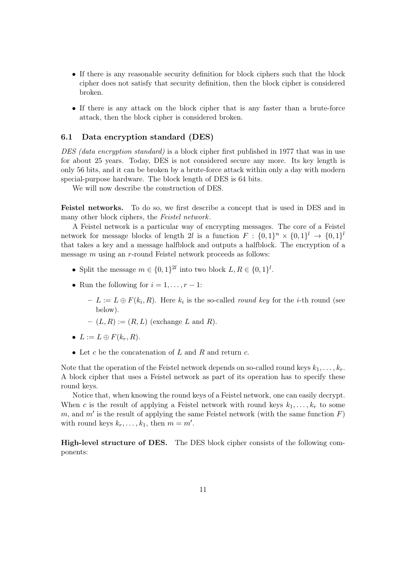- <span id="page-10-1"></span>• If there is any reasonable security definition for block ciphers such that the block cipher does not satisfy that security definition, then the block cipher is considered broken.
- If there is any attack on the block cipher that is any faster than a brute-force attack, then the block cipher is considered broken.

#### <span id="page-10-0"></span>6.1 Data encryption standard (DES)

DES (data encryption standard) is a block cipher first published in 1977 that was in use for about 25 years. Today, DES is not considered secure any more. Its key length is only 56 bits, and it can be broken by a brute-force attack within only a day with modern special-purpose hardware. The block length of DES is 64 bits.

We will now describe the construction of DES.

Feistel networks. To do so, we first describe a concept that is used in DES and in many other block ciphers, the Feistel network.

A Feistel network is a particular way of encrypting messages. The core of a Feistel network for message blocks of length 2l is a function  $F: \{0,1\}^n \times \{0,1\}^l \rightarrow \{0,1\}^l$ that takes a key and a message halfblock and outputs a halfblock. The encryption of a message m using an r-round Feistel network proceeds as follows:

- Split the message  $m \in \{0,1\}^{2l}$  into two block  $L, R \in \{0,1\}^{l}$ .
- Run the following for  $i = 1, \ldots, r 1$ :
	- $-L := L \oplus F(k_i, R)$ . Here  $k_i$  is the so-called *round key* for the *i*-th round (see below).
	- $-(L, R) := (R, L)$  (exchange L and R).
- $L := L \oplus F(k_r, R)$ .
- Let c be the concatenation of L and R and return  $c$ .

Note that the operation of the Feistel network depends on so-called round keys  $k_1, \ldots, k_r$ . A block cipher that uses a Feistel network as part of its operation has to specify these round keys.

Notice that, when knowing the round keys of a Feistel network, one can easily decrypt. When c is the result of applying a Feistel network with round keys  $k_1, \ldots, k_r$  to some m, and  $m'$  is the result of applying the same Feistel network (with the same function  $F$ ) with round keys  $k_r, \ldots, k_1$ , then  $m = m'$ .

High-level structure of DES. The DES block cipher consists of the following components: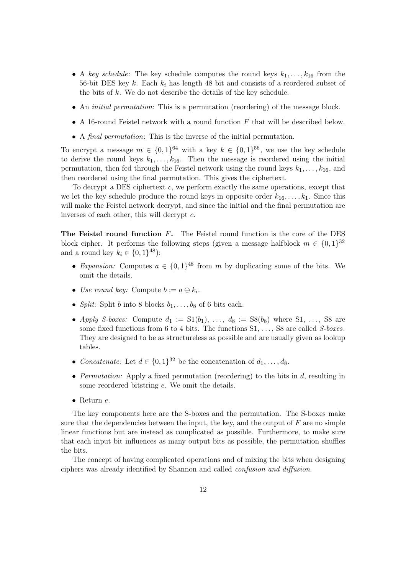- <span id="page-11-1"></span>• A key schedule: The key schedule computes the round keys  $k_1, \ldots, k_{16}$  from the 56-bit DES key  $k$ . Each  $k_i$  has length 48 bit and consists of a reordered subset of the bits of k. We do not describe the details of the key schedule.
- An *initial permutation*: This is a permutation (reordering) of the message block.
- A 16-round Feistel network with a round function  $F$  that will be described below.
- A final permutation: This is the inverse of the initial permutation.

To encrypt a message  $m \in \{0,1\}^{64}$  with a key  $k \in \{0,1\}^{56}$ , we use the key schedule to derive the round keys  $k_1, \ldots, k_{16}$ . Then the message is reordered using the initial permutation, then fed through the Feistel network using the round keys  $k_1, \ldots, k_{16}$ , and then reordered using the final permutation. This gives the ciphertext.

To decrypt a DES ciphertext c, we perform exactly the same operations, except that we let the key schedule produce the round keys in opposite order  $k_{16}, \ldots, k_1$ . Since this will make the Feistel network decrypt, and since the initial and the final permutation are inverses of each other, this will decrypt  $c$ .

The Feistel round function  $F$ . The Feistel round function is the core of the DES block cipher. It performs the following steps (given a message halfblock  $m \in \{0,1\}^{32}$ and a round key  $k_i \in \{0, 1\}^{48}$ :

- Expansion: Computes  $a \in \{0,1\}^{48}$  from m by duplicating some of the bits. We omit the details.
- Use round key: Compute  $b := a \oplus k_i$ .
- Split: Split b into 8 blocks  $b_1, \ldots, b_8$  of 6 bits each.
- Apply S-boxes: Compute  $d_1 := S1(b_1), \ldots, d_8 := S8(b_8)$  where  $S1, \ldots, S8$  are some fixed functions from 6 to 4 bits. The functions  $S_1, \ldots, S_8$  are called S-boxes. They are designed to be as structureless as possible and are usually given as lookup tables.
- Concatenate: Let  $d \in \{0,1\}^{32}$  be the concatenation of  $d_1, \ldots, d_8$ .
- Permutation: Apply a fixed permutation (reordering) to the bits in  $d$ , resulting in some reordered bitstring e. We omit the details.
- Return e.

The key components here are the S-boxes and the permutation. The S-boxes make sure that the dependencies between the input, the key, and the output of  $F$  are no simple linear functions but are instead as complicated as possible. Furthermore, to make sure that each input bit influences as many output bits as possible, the permutation shuffles the bits.

<span id="page-11-0"></span>The concept of having complicated operations and of mixing the bits when designing ciphers was already identified by Shannon and called confusion and diffusion.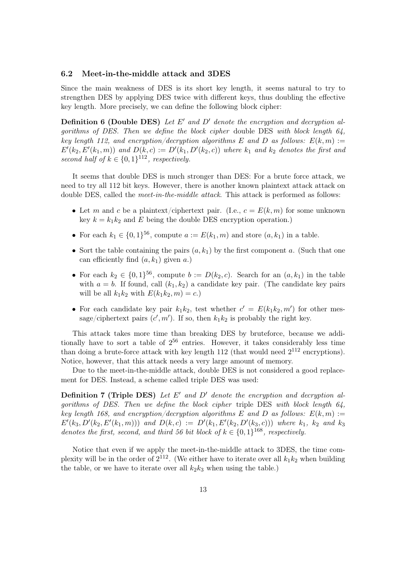#### <span id="page-12-1"></span><span id="page-12-0"></span>6.2 Meet-in-the-middle attack and 3DES

Since the main weakness of DES is its short key length, it seems natural to try to strengthen DES by applying DES twice with different keys, thus doubling the effective key length. More precisely, we can define the following block cipher:

**Definition 6 (Double DES)** Let E' and D' denote the encryption and decryption algorithms of DES. Then we define the block cipher double DES with block length 64, key length 112, and encryption/decryption algorithms E and D as follows:  $E(k, m) :=$  $E'(k_2, E'(k_1,m))$  and  $D(k, c) := D'(k_1, D'(k_2, c))$  where  $k_1$  and  $k_2$  denotes the first and second half of  $k \in \{0,1\}^{112}$ , respectively.

It seems that double DES is much stronger than DES: For a brute force attack, we need to try all 112 bit keys. However, there is another known plaintext attack attack on double DES, called the *meet-in-the-middle attack*. This attack is performed as follows:

- Let m and c be a plaintext/ciphertext pair. (I.e.,  $c = E(k, m)$  for some unknown key  $k = k_1 k_2$  and E being the double DES encryption operation.)
- For each  $k_1 \in \{0,1\}^{56}$ , compute  $a := E(k_1, m)$  and store  $(a, k_1)$  in a table.
- Sort the table containing the pairs  $(a, k_1)$  by the first component a. (Such that one can efficiently find  $(a, k_1)$  given a.)
- For each  $k_2 \in \{0,1\}^{56}$ , compute  $b := D(k_2, c)$ . Search for an  $(a, k_1)$  in the table with  $a = b$ . If found, call  $(k_1, k_2)$  a candidate key pair. (The candidate key pairs will be all  $k_1k_2$  with  $E(k_1k_2, m) = c$ .
- For each candidate key pair  $k_1 k_2$ , test whether  $c' = E(k_1 k_2, m')$  for other message/ciphertext pairs  $(c', m')$ . If so, then  $k_1 k_2$  is probably the right key.

This attack takes more time than breaking DES by bruteforce, because we additionally have to sort a table of  $2^{56}$  entries. However, it takes considerably less time than doing a brute-force attack with key length  $112$  (that would need  $2^{112}$  encryptions). Notice, however, that this attack needs a very large amount of memory.

Due to the meet-in-the-middle attack, double DES is not considered a good replacement for DES. Instead, a scheme called triple DES was used:

**Definition 7 (Triple DES)** Let  $E'$  and  $D'$  denote the encryption and decryption algorithms of DES. Then we define the block cipher triple DES with block length 64, key length 168, and encryption/decryption algorithms E and D as follows:  $E(k, m) :=$  $E'(k_3, D'(k_2, E'(k_1, m)))$  and  $D(k, c) := D'(k_1, E'(k_2, D'(k_3, c)))$  where  $k_1$ ,  $k_2$  and  $k_3$ denotes the first, second, and third 56 bit block of  $k \in \{0,1\}^{168}$ , respectively.

Notice that even if we apply the meet-in-the-middle attack to 3DES, the time complexity will be in the order of  $2^{112}$ . (We either have to iterate over all  $k_1k_2$  when building the table, or we have to iterate over all  $k_2k_3$  when using the table.)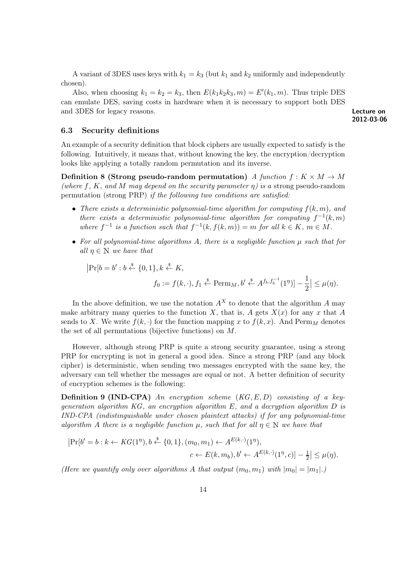<span id="page-13-3"></span>A variant of 3DES uses keys with  $k_1 = k_3$  (but  $k_1$  and  $k_2$  uniformly and independently chosen).

Also, when choosing  $k_1 = k_2 = k_3$ , then  $E(k_1 k_2 k_3, m) = E'(k_1, m)$ . Thus triple DES can emulate DES, saving costs in hardware when it is necessary to support both DES and 3DES for legacy reasons. Lecture on

<span id="page-13-5"></span>2012-03-06

#### <span id="page-13-0"></span>6.3 Security definitions

An example of a security definition that block ciphers are usually expected to satisfy is the following. Intuitively, it means that, without knowing the key, the encryption/decryption looks like applying a totally random permutation and its inverse.

<span id="page-13-2"></span>Definition 8 (Strong pseudo-random permutation) A function  $f: K \times M \rightarrow M$ (where f, K, and M may depend on the security parameter  $\eta$ ) is a strong pseudo-random permutation (strong PRP) if the following two conditions are satisfied:

- There exists a deterministic polynomial-time algorithm for computing  $f(k, m)$ , and there exists a deterministic polynomial-time algorithm for computing  $f^{-1}(k,m)$ where  $f^{-1}$  is a function such that  $f^{-1}(k, f(k,m)) = m$  for all  $k \in K$ ,  $m \in M$ .
- For all polynomial-time algorithms A, there is a negligible function  $\mu$  such that for all  $\eta \in \mathbb{N}$  we have that

<span id="page-13-4"></span>
$$
|\Pr[b = b' : b \stackrel{\$}{\leftarrow} \{0, 1\}, k \stackrel{\$}{\leftarrow} K,
$$
  

$$
f_0 := f(k, \cdot), f_1 \stackrel{\$}{\leftarrow} \text{Perm}_M, b' \stackrel{\$}{\leftarrow} A^{f_b, f_b^{-1}}(1^{\eta})] - \frac{1}{2}| \leq \mu(\eta).
$$

In the above definition, we use the notation  $A^X$  to denote that the algorithm A may make arbitrary many queries to the function X, that is, A gets  $X(x)$  for any x that A sends to X. We write  $f(k, \cdot)$  for the function mapping x to  $f(k, x)$ . And Perm<sub>M</sub> denotes the set of all permutations (bijective functions) on M.

However, although strong PRP is quite a strong security guarantee, using a strong PRP for encrypting is not in general a good idea. Since a strong PRP (and any block cipher) is deterministic, when sending two messages encrypted with the same key, the adversary can tell whether the messages are equal or not. A better definition of security of encryption schemes is the following:

<span id="page-13-1"></span>**Definition 9 (IND-CPA)** An encryption scheme  $(KG, E, D)$  consisting of a keygeneration algorithm  $KG$ , an encryption algorithm  $E$ , and a decryption algorithm  $D$  is IND-CPA (indistinguishable under chosen plaintext attacks) if for any polynomial-time algorithm A there is a negligible function  $\mu$ , such that for all  $\eta \in \mathbb{N}$  we have that

$$
|\Pr[b' = b : k \leftarrow KG(1^n), b \stackrel{\$}{\leftarrow} \{0, 1\}, (m_0, m_1) \leftarrow A^{E(k, \cdot)}(1^n),
$$
  

$$
c \leftarrow E(k, m_b), b' \leftarrow A^{E(k, \cdot)}(1^n, c)] - \frac{1}{2}| \leq \mu(\eta).
$$

(Here we quantify only over algorithms A that output  $(m_0, m_1)$  with  $|m_0| = |m_1|$ .)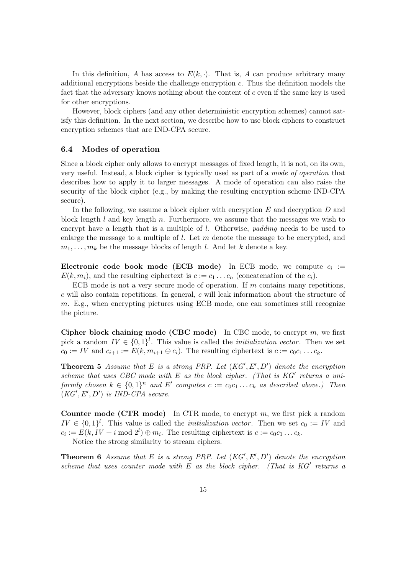<span id="page-14-1"></span>In this definition, A has access to  $E(k, \cdot)$ . That is, A can produce arbitrary many additional encryptions beside the challenge encryption  $c$ . Thus the definition models the fact that the adversary knows nothing about the content of  $c$  even if the same key is used for other encryptions.

However, block ciphers (and any other deterministic encryption schemes) cannot satisfy this definition. In the next section, we describe how to use block ciphers to construct encryption schemes that are IND-CPA secure.

#### <span id="page-14-0"></span>6.4 Modes of operation

Since a block cipher only allows to encrypt messages of fixed length, it is not, on its own, very useful. Instead, a block cipher is typically used as part of a mode of operation that describes how to apply it to larger messages. A mode of operation can also raise the security of the block cipher (e.g., by making the resulting encryption scheme IND-CPA secure).

In the following, we assume a block cipher with encryption E and decryption D and block length  $l$  and key length  $n$ . Furthermore, we assume that the messages we wish to encrypt have a length that is a multiple of l. Otherwise, *padding* needs to be used to enlarge the message to a multiple of  $l$ . Let m denote the message to be encrypted, and  $m_1, \ldots, m_k$  be the message blocks of length l. And let k denote a key.

Electronic code book mode (ECB mode) In ECB mode, we compute  $c_i :=$  $E(k, m_i)$ , and the resulting ciphertext is  $c := c_1 \dots c_n$  (concatenation of the  $c_i$ ).

ECB mode is not a very secure mode of operation. If  $m$  contains many repetitions, c will also contain repetitions. In general, c will leak information about the structure of m. E.g., when encrypting pictures using ECB mode, one can sometimes still recognize the picture.

Cipher block chaining mode (CBC mode) In CBC mode, to encrypt  $m$ , we first pick a random  $IV \in \{0,1\}^l$ . This value is called the *initialization vector*. Then we set  $c_0 := IV$  and  $c_{i+1} := E(k, m_{i+1} \oplus c_i)$ . The resulting ciphertext is  $c := c_0 c_1 \dots c_k$ .

**Theorem 5** Assume that E is a strong PRP. Let  $(KG', E', D')$  denote the encryption scheme that uses CBC mode with  $E$  as the block cipher. (That is  $KG'$  returns a uniformly chosen  $k \in \{0,1\}^n$  and E' computes  $c := c_0c_1 \ldots c_k$  as described above.) Then  $(KG', E', D')$  is IND-CPA secure.

**Counter mode (CTR mode)** In CTR mode, to encrypt  $m$ , we first pick a random  $IV \in \{0,1\}^l$ . This value is called the *initialization vector*. Then we set  $c_0 := IV$  and  $c_i := E(k, IV + i \mod 2^l) \oplus m_i$ . The resulting ciphertext is  $c := c_0 c_1 \dots c_k$ .

Notice the strong similarity to stream ciphers.

**Theorem 6** Assume that E is a strong PRP. Let  $(KG', E', D')$  denote the encryption scheme that uses counter mode with  $E$  as the block cipher. (That is  $KG'$  returns a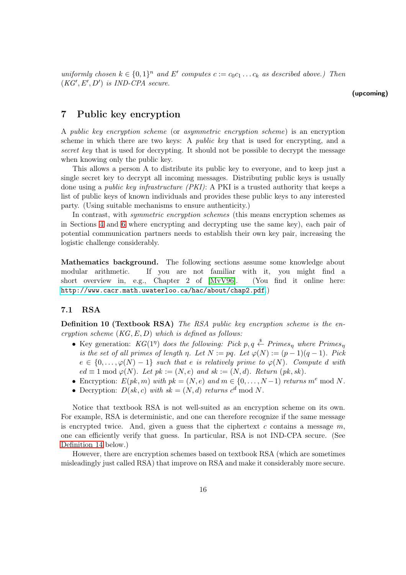<span id="page-15-2"></span>uniformly chosen  $k \in \{0,1\}^n$  and E' computes  $c := c_0 c_1 \ldots c_k$  as described above.) Then  $(KG', E', D')$  is IND-CPA secure.

## <span id="page-15-0"></span>7 Public key encryption

A public key encryption scheme (or asymmetric encryption scheme) is an encryption scheme in which there are two keys: A public key that is used for encrypting, and a secret key that is used for decrypting. It should not be possible to decrypt the message when knowing only the public key.

This allows a person A to distribute its public key to everyone, and to keep just a single secret key to decrypt all incoming messages. Distributing public keys is usually done using a public key infrastructure (PKI): A PKI is a trusted authority that keeps a list of public keys of known individuals and provides these public keys to any interested party. (Using suitable mechanisms to ensure authenticity.)

In contrast, with *symmetric encryption schemes* (this means encryption schemes as in Sections [4](#page-6-0) and [6](#page-9-0) where encrypting and decrypting use the same key), each pair of potential communication partners needs to establish their own key pair, increasing the logistic challenge considerably.

Mathematics background. The following sections assume some knowledge about modular arithmetic. If you are not familiar with it, you might find a short overview in, e.g., Chapter 2 of [\[MvV96\]](#page-47-0). (You find it online here: <http://www.cacr.math.uwaterloo.ca/hac/about/chap2.pdf>.)

#### <span id="page-15-1"></span>7.1 RSA

Definition 10 (Textbook RSA) The RSA public key encryption scheme is the encryption scheme  $(KG, E, D)$  which is defined as follows:

- <span id="page-15-3"></span>• Key generation:  $KG(1<sup>\eta</sup>)$  does the following: Pick p, q  $\overset{\$}{\leftarrow}$  Primes<sub>n</sub> where Primes<sub>n</sub> is the set of all primes of length  $\eta$ . Let  $N := pq$ . Let  $\varphi(N) := (p-1)(q-1)$ . Pick  $e \in \{0, \ldots, \varphi(N)-1\}$  such that e is relatively prime to  $\varphi(N)$ . Compute d with  $ed \equiv 1 \bmod \varphi(N)$ . Let  $pk := (N, e)$  and  $sk := (N, d)$ . Return  $(pk, sk)$ .
- Encryption:  $E(pk, m)$  with  $pk = (N, e)$  and  $m \in \{0, \ldots, N-1\}$  returns  $m^e \mod N$ .
- <span id="page-15-5"></span><span id="page-15-4"></span>• Decryption:  $D(sk, c)$  with  $sk = (N, d)$  returns  $c^d \mod N$ .

Notice that textbook RSA is not well-suited as an encryption scheme on its own. For example, RSA is deterministic, and one can therefore recognize if the same message is encrypted twice. And, given a guess that the ciphertext c contains a message  $m$ , one can efficiently verify that guess. In particular, RSA is not IND-CPA secure. (See [Definition 14](#page-16-1) below.)

However, there are encryption schemes based on textbook RSA (which are sometimes misleadingly just called RSA) that improve on RSA and make it considerably more secure.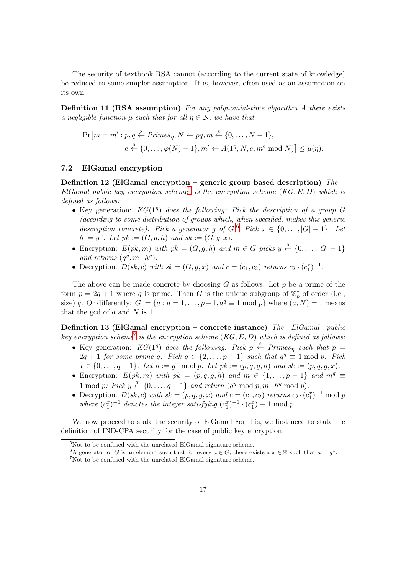<span id="page-16-5"></span>The security of textbook RSA cannot (according to the current state of knowledge) be reduced to some simpler assumption. It is, however, often used as an assumption on its own:

Definition 11 (RSA assumption) For any polynomial-time algorithm A there exists a negligible function  $\mu$  such that for all  $\eta \in \mathbb{N}$ , we have that

$$
\Pr[m = m' : p, q \stackrel{\$}{\leftarrow} Primes_{\eta}, N \leftarrow pq, m \stackrel{\$}{\leftarrow} \{0, \dots, N - 1\},
$$

$$
e \stackrel{\$}{\leftarrow} \{0, \dots, \varphi(N) - 1\}, m' \leftarrow A(1^{\eta}, N, e, m^e \mod N) \leq \mu(\eta).
$$

#### <span id="page-16-0"></span>7.2 ElGamal encryption

Definition 12 (ElGamal encryption – generic group based description) The ElGamal public key encryption scheme<sup>[5](#page-16-2)</sup> is the encryption scheme  $(KG, E, D)$  which is defined as follows:

- Key generation:  $KG(1<sup>\eta</sup>)$  does the following: Pick the description of a group G (according to some distribution of groups which, when specified, makes this generic description concrete). Pick a generator g of  $G$ .<sup>[6](#page-16-3)</sup> Pick  $x \in \{0, ..., |G|-1\}$ . Let  $h := g^x$ . Let  $pk := (G, g, h)$  and  $sk := (G, g, x)$ .
- Encryption:  $E(pk, m)$  with  $pk = (G, g, h)$  and  $m \in G$  picks  $y \stackrel{\$}{\leftarrow} \{0, \ldots, |G| 1\}$ and returns  $(g^y, m \cdot h^y)$ .
- Decryption:  $D(sk, c)$  with  $sk = (G, g, x)$  and  $c = (c_1, c_2)$  returns  $c_2 \cdot (c_1^x)^{-1}$ .

The above can be made concrete by choosing  $G$  as follows: Let  $p$  be a prime of the form  $p = 2q + 1$  where q is prime. Then G is the unique subgroup of  $\mathbb{Z}_p^*$  of order (i.e., size) q. Or differently:  $G := \{a : a = 1, \ldots, p-1, a^q \equiv 1 \mod p\}$  where  $(a, N) = 1$  means that the gcd of  $a$  and  $N$  is 1.

Definition 13 (ElGamal encryption – concrete instance) The ElGamal public key encryption scheme<sup>[7](#page-16-4)</sup> is the encryption scheme  $(KG, E, D)$  which is defined as follows:

- Key generation:  $KG(1<sup>\eta</sup>)$  does the following: Pick  $p \stackrel{\$}{\leftarrow}$  Primes<sub>n</sub> such that  $p =$  $2q + 1$  for some prime q. Pick  $g \in \{2, ..., p - 1\}$  such that  $g^q \equiv 1 \mod p$ . Pick  $x \in \{0, ..., q-1\}$ . Let  $h := g^x \mod p$ . Let  $pk := (p, q, g, h)$  and  $sk := (p, q, g, x)$ .
- Encryption:  $E(pk, m)$  with  $pk = (p, q, g, h)$  and  $m \in \{1, ..., p 1\}$  and  $m^q \equiv$ 1 mod p: Pick  $y \stackrel{\$}{\leftarrow} \{0, \ldots, q-1\}$  and return  $(g^y \mod p, m \cdot h^y \mod p)$ .
- Decryption:  $D(sk, c)$  with  $sk = (p, q, g, x)$  and  $c = (c_1, c_2)$  returns  $c_2 \cdot (c_1^x)^{-1} \mod p$ where  $(c_1^x)^{-1}$  denotes the integer satisfying  $(c_1^x)^{-1} \cdot (c_1^x) \equiv 1 \mod p$ .

<span id="page-16-1"></span>We now proceed to state the security of ElGamal For this, we first need to state the definition of IND-CPA security for the case of public key encryption.

<sup>&</sup>lt;sup>5</sup>Not to be confused with the unrelated ElGamal signature scheme.

<span id="page-16-2"></span><sup>&</sup>lt;sup>6</sup>A generator of G is an element such that for every  $a \in G$ , there exists a  $x \in \mathbb{Z}$  such that  $a = g^x$ .

<span id="page-16-4"></span><span id="page-16-3"></span><sup>7</sup>Not to be confused with the unrelated ElGamal signature scheme.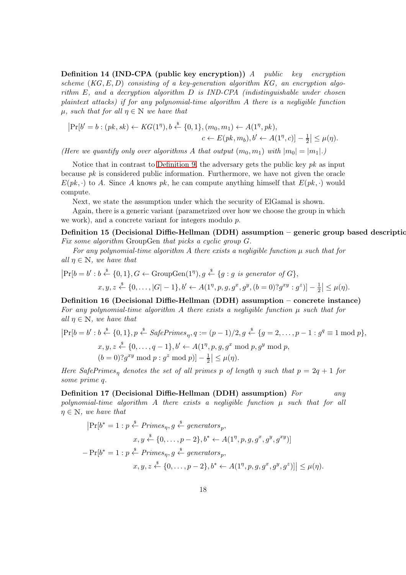<span id="page-17-0"></span>Definition 14 (IND-CPA (public key encryption)) A public key encryption scheme  $(KG, E, D)$  consisting of a key-generation algorithm KG, an encryption algorithm  $E$ , and a decryption algorithm  $D$  is IND-CPA (indistinguishable under chosen plaintext attacks) if for any polynomial-time algorithm A there is a negligible function  $\mu$ , such that for all  $\eta \in \mathbb{N}$  we have that

$$
|\Pr[b' = b : (pk, sk) \leftarrow KG(1^{\eta}), b \stackrel{\$}{\leftarrow} \{0, 1\}, (m_0, m_1) \leftarrow A(1^{\eta}, pk),
$$
  

$$
c \leftarrow E(pk, m_b), b' \leftarrow A(1^{\eta}, c)] - \frac{1}{2}| \leq \mu(\eta).
$$

(Here we quantify only over algorithms A that output  $(m_0, m_1)$  with  $|m_0| = |m_1|$ .)

Notice that in contrast to [Definition 9,](#page-13-1) the adversary gets the public key  $pk$  as input because  $pk$  is considered public information. Furthermore, we have not given the oracle  $E(pk, \cdot)$  to A. Since A knows pk, he can compute anything himself that  $E(pk, \cdot)$  would compute.

Next, we state the assumption under which the security of ElGamal is shown.

Again, there is a generic variant (parametrized over how we choose the group in which we work), and a concrete variant for integers modulo p.

Definition 15 (Decisional Diffie-Hellman (DDH) assumption – generic group based description Fix some algorithm GroupGen that picks a cyclic group G.

For any polynomial-time algorithm A there exists a negligible function  $\mu$  such that for all  $\eta \in \mathbb{N}$ , we have that

$$
|\Pr[b = b' : b \stackrel{\$}{\leftarrow} \{0, 1\}, G \leftarrow \text{GroupGen}(1^{\eta}), g \stackrel{\$}{\leftarrow} \{g : g \text{ is generator of } G\},
$$
  
 $x, y, z \stackrel{\$}{\leftarrow} \{0, \ldots, |G| - 1\}, b' \leftarrow A(1^{\eta}, p, g, g^x, g^y, (b = 0)^2 g^{xy} : g^z\}]-\frac{1}{2}| \leq \mu(\eta).$ 

Definition 16 (Decisional Diffie-Hellman (DDH) assumption – concrete instance) For any polynomial-time algorithm A there exists a negligible function  $\mu$  such that for all  $\eta \in \mathbb{N}$ , we have that

$$
|\Pr[b = b' : b \stackrel{\$}{\leftarrow} \{0, 1\}, p \stackrel{\$}{\leftarrow} SafePrimes_{\eta}, q := (p - 1)/2, g \stackrel{\$}{\leftarrow} \{g = 2, \dots, p - 1 : g^q \equiv 1 \text{ mod } p\},
$$
  

$$
x, y, z \stackrel{\$}{\leftarrow} \{0, \dots, q - 1\}, b' \leftarrow A(1^{\eta}, p, g, g^x \text{ mod } p, g^y \text{ mod } p,
$$
  

$$
(b = 0)?g^{xy} \text{ mod } p : g^z \text{ mod } p) \big| - \frac{1}{2} \big| \le \mu(\eta).
$$

<span id="page-17-1"></span>Here SafePrimes<sub>n</sub> denotes the set of all primes p of length  $\eta$  such that  $p = 2q + 1$  for some prime q.

Definition 17 (Decisional Diffie-Hellman (DDH) assumption) For any polynomial-time algorithm A there exists a negligible function  $\mu$  such that for all  $\eta \in \mathbb{N}$ , we have that

$$
|\Pr[b^* = 1 : p \stackrel{\$}{\leftarrow} Primes_{\eta}, g \stackrel{\$}{\leftarrow} generators_p,
$$
  

$$
x, y \stackrel{\$}{\leftarrow} \{0, \dots, p-2\}, b^* \leftarrow A(1^{\eta}, p, g, g^x, g^y, g^{xy})]
$$
  

$$
-\Pr[b^* = 1 : p \stackrel{\$}{\leftarrow} Primes_{\eta}, g \stackrel{\$}{\leftarrow} generators_p,
$$
  

$$
x, y, z \stackrel{\$}{\leftarrow} \{0, \dots, p-2\}, b^* \leftarrow A(1^{\eta}, p, g, g^x, g^y, g^z)\} \le \mu(\eta).
$$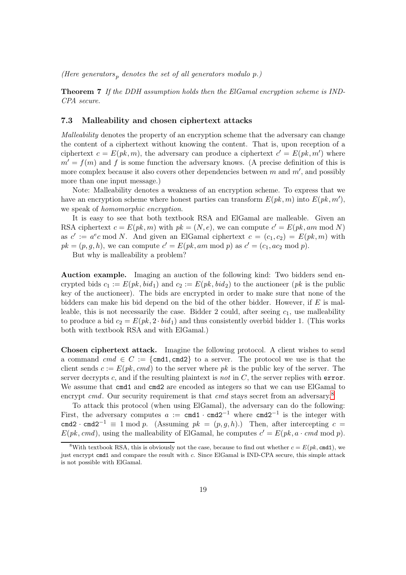<span id="page-18-2"></span>(Here generators, denotes the set of all generators modulo  $p$ .)

Theorem 7 If the DDH assumption holds then the ElGamal encryption scheme is IND-CPA secure.

#### <span id="page-18-0"></span>7.3 Malleability and chosen ciphertext attacks

Malleability denotes the property of an encryption scheme that the adversary can change the content of a ciphertext without knowing the content. That is, upon reception of a ciphertext  $c = E(pk, m)$ , the adversary can produce a ciphertext  $c' = E(pk, m')$  where  $m' = f(m)$  and f is some function the adversary knows. (A precise definition of this is more complex because it also covers other dependencies between  $m$  and  $m'$ , and possibly more than one input message.)

Note: Malleability denotes a weakness of an encryption scheme. To express that we have an encryption scheme where honest parties can transform  $E(pk, m)$  into  $E(pk, m')$ , we speak of *homomorphic encryption*.

It is easy to see that both textbook RSA and ElGamal are malleable. Given an RSA ciphertext  $c = E(pk, m)$  with  $pk = (N, e)$ , we can compute  $c' = E(pk, am \mod N)$ as  $c' := a^e c \mod N$ . And given an ElGamal ciphertext  $c = (c_1, c_2) = E(pk, m)$  with  $pk = (p, g, h)$ , we can compute  $c' = E(pk, am \mod p)$  as  $c' = (c_1, ac_2 \mod p)$ .

But why is malleability a problem?

Auction example. Imaging an auction of the following kind: Two bidders send encrypted bids  $c_1 := E(pk, bid_1)$  and  $c_2 := E(pk, bid_2)$  to the auctioneer (*pk* is the public key of the auctioneer). The bids are encrypted in order to make sure that none of the bidders can make his bid depend on the bid of the other bidder. However, if  $E$  is malleable, this is not necessarily the case. Bidder 2 could, after seeing  $c_1$ , use malleability to produce a bid  $c_2 = E(pk, 2 \cdot bid_1)$  and thus consistently overbid bidder 1. (This works both with textbook RSA and with ElGamal.)

Chosen ciphertext attack. Imagine the following protocol. A client wishes to send a command  $cmd \in C := \{\text{cmd1}, \text{cmd2}\}\)$  to a server. The protocol we use is that the client sends  $c := E(pk, cmd)$  to the server where pk is the public key of the server. The server decrypts c, and if the resulting plaintext is not in  $C$ , the server replies with error. We assume that  $c$ md1 and  $c$ md2 are encoded as integers so that we can use ElGamal to encrypt  $cmd$ . Our security requirement is that  $cmd$  stays secret from an adversary.<sup>[8](#page-18-1)</sup>

To attack this protocol (when using ElGamal), the adversary can do the following: First, the adversary computes  $a := \text{cmd1} \cdot \text{cmd2}^{-1}$  where  $\text{cmd2}^{-1}$  is the integer with cmd2 · cmd2<sup>-1</sup>  $\equiv$  1 mod p. (Assuming pk =  $(p, q, h)$ .) Then, after intercepting c =  $E(pk, cmd)$ , using the malleability of ElGamal, he computes  $c' = E(pk, a \cdot cmd \mod p)$ .

<span id="page-18-1"></span><sup>&</sup>lt;sup>8</sup>With textbook RSA, this is obviously not the case, because to find out whether  $c = E(pk, \text{cmd1})$ , we just encrypt cmd1 and compare the result with c. Since ElGamal is IND-CPA secure, this simple attack is not possible with ElGamal.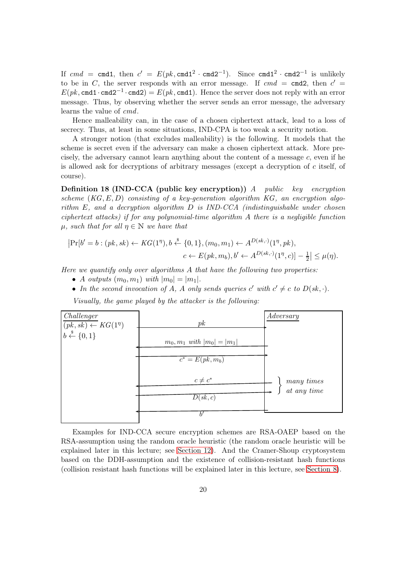<span id="page-19-0"></span>If  $cmd = \text{cmd1}, \text{ then } c' = E(pk, \text{cmd1}^2 \cdot \text{cmd2}^{-1}).$  Since  $\text{cmd1}^2 \cdot \text{cmd2}^{-1}$  is unlikely to be in C, the server responds with an error message. If  $cmd = \text{cmd2}$ , then  $c' =$  $E(pk, \texttt{cmd1} \cdot \texttt{cmd2}^{-1} \cdot \texttt{cmd2}) = E(pk, \texttt{cmd1}).$  Hence the server does not reply with an error message. Thus, by observing whether the server sends an error message, the adversary learns the value of cmd.

Hence malleability can, in the case of a chosen ciphertext attack, lead to a loss of secrecy. Thus, at least in some situations, IND-CPA is too weak a security notion.

A stronger notion (that excludes malleability) is the following. It models that the scheme is secret even if the adversary can make a chosen ciphertext attack. More precisely, the adversary cannot learn anything about the content of a message  $c$ , even if he is allowed ask for decryptions of arbitrary messages (except a decryption of  $c$  itself, of course).

Definition 18 (IND-CCA (public key encryption)) A public key encryption scheme  $(KG, E, D)$  consisting of a key-generation algorithm KG, an encryption algorithm  $E$ , and a decryption algorithm  $D$  is IND-CCA (indistinguishable under chosen ciphertext attacks) if for any polynomial-time algorithm A there is a negligible function  $\mu$ , such that for all  $\eta \in \mathbb{N}$  we have that

$$
|\Pr[b' = b : (pk, sk) \leftarrow KG(1^{\eta}), b \stackrel{\$}{\leftarrow} \{0, 1\}, (m_0, m_1) \leftarrow A^{D(sk, \cdot)}(1^{\eta}, pk),
$$
  

$$
c \leftarrow E(pk, m_b), b' \leftarrow A^{D(sk, \cdot)}(1^{\eta}, c)] - \frac{1}{2}| \leq \mu(\eta).
$$

Here we quantify only over algorithms  $A$  that have the following two properties:

- A outputs  $(m_0, m_1)$  with  $|m_0| = |m_1|$ .
- In the second invocation of A, A only sends queries  $c'$  with  $c' \neq c$  to  $D(sk, \cdot)$ .

Visually, the game played by the attacker is the following:



Examples for IND-CCA secure encryption schemes are RSA-OAEP based on the RSA-assumption using the random oracle heuristic (the random oracle heuristic will be explained later in this lecture; see [Section 12\)](#page-33-0). And the Cramer-Shoup cryptosystem based on the DDH-assumption and the existence of collision-resistant hash functions (collision resistant hash functions will be explained later in this lecture, see [Section 8\)](#page-20-1).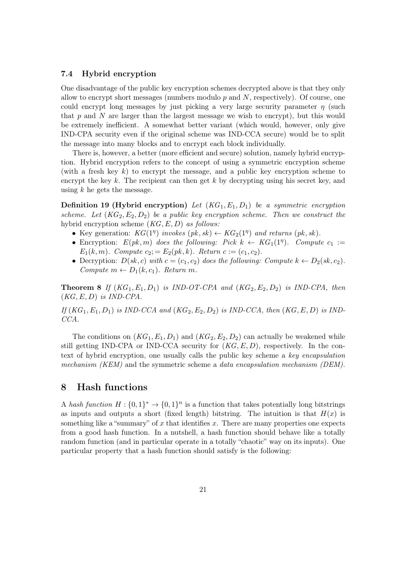#### <span id="page-20-2"></span><span id="page-20-0"></span>7.4 Hybrid encryption

One disadvantage of the public key encryption schemes decrypted above is that they only allow to encrypt short messages (numbers modulo  $p$  and  $N$ , respectively). Of course, one could encrypt long messages by just picking a very large security parameter  $\eta$  (such that  $p$  and  $N$  are larger than the largest message we wish to encrypt), but this would be extremely inefficient. A somewhat better variant (which would, however, only give IND-CPA security even if the original scheme was IND-CCA secure) would be to split the message into many blocks and to encrypt each block individually.

There is, however, a better (more efficient and secure) solution, namely hybrid encryption. Hybrid encryption refers to the concept of using a symmetric encryption scheme (with a fresh key  $k$ ) to encrypt the message, and a public key encryption scheme to encrypt the key  $k$ . The recipient can then get  $k$  by decrypting using his secret key, and using  $k$  he gets the message.

**Definition 19 (Hybrid encryption)** Let  $(KG_1, E_1, D_1)$  be a symmetric encryption scheme. Let  $(KG_2, E_2, D_2)$  be a public key encryption scheme. Then we construct the hybrid encryption scheme  $(KG, E, D)$  as follows:

- Key generation:  $KG(1<sup>\eta</sup>)$  invokes  $(pk, sk) \leftarrow KG_2(1<sup>\eta</sup>)$  and returns  $(pk, sk)$ .
- Encryption:  $E(pk, m)$  does the following: Pick  $k \leftarrow KG_1(1^n)$ . Compute  $c_1 :=$  $E_1(k,m)$ . Compute  $c_2 = E_2(pk, k)$ . Return  $c := (c_1, c_2)$ .
- Decryption:  $D(sk, c)$  with  $c = (c_1, c_2)$  does the following: Compute  $k \leftarrow D_2(sk, c_2)$ . Compute  $m \leftarrow D_1(k, c_1)$ . Return m.

**Theorem 8** If  $(KG_1, E_1, D_1)$  is IND-OT-CPA and  $(KG_2, E_2, D_2)$  is IND-CPA, then  $(KG, E, D)$  is IND-CPA.

If  $(KG_1, E_1, D_1)$  is IND-CCA and  $(KG_2, E_2, D_2)$  is IND-CCA, then  $(KG, E, D)$  is IND-CCA.

The conditions on  $(KG_1, E_1, D_1)$  and  $(KG_2, E_2, D_2)$  can actually be weakened while still getting IND-CPA or IND-CCA security for  $(KG, E, D)$ , respectively. In the context of hybrid encryption, one usually calls the public key scheme a key encapsulation mechanism (KEM) and the symmetric scheme a data encapsulation mechanism (DEM).

## <span id="page-20-1"></span>8 Hash functions

A hash function  $H: \{0,1\}^* \to \{0,1\}^n$  is a function that takes potentially long bitstrings as inputs and outputs a short (fixed length) bitstring. The intuition is that  $H(x)$  is something like a "summary" of x that identifies x. There are many properties one expects from a good hash function. In a nutshell, a hash function should behave like a totally random function (and in particular operate in a totally "chaotic" way on its inputs). One particular property that a hash function should satisfy is the following: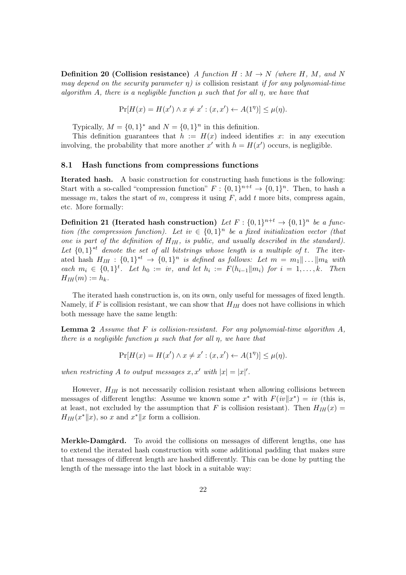<span id="page-21-2"></span>**Definition 20 (Collision resistance)** A function  $H : M \to N$  (where H, M, and N may depend on the security parameter  $\eta$ ) is collision resistant if for any polynomial-time algorithm A, there is a negligible function  $\mu$  such that for all  $\eta$ , we have that

$$
\Pr[H(x) = H(x') \land x \neq x' : (x, x') \leftarrow A(1^{\eta})] \leq \mu(\eta).
$$

Typically,  $M = \{0, 1\}^*$  and  $N = \{0, 1\}^n$  in this definition.

This definition guarantees that  $h := H(x)$  indeed identifies x: in any execution involving, the probability that more another x' with  $h = H(x')$  occurs, is negligible.

#### <span id="page-21-0"></span>8.1 Hash functions from compressions functions

Iterated hash. A basic construction for constructing hash functions is the following: Start with a so-called "compression function"  $F: \{0,1\}^{n+t} \to \{0,1\}^n$ . Then, to hash a message  $m$ , takes the start of  $m$ , compress it using  $F$ , add  $t$  more bits, compress again, etc. More formally:

<span id="page-21-3"></span>Definition 21 (Iterated hash construction) Let  $F: \{0,1\}^{n+t} \to \{0,1\}^n$  be a function (the compression function). Let  $iv \in \{0,1\}^n$  be a fixed initialization vector (that one is part of the definition of  $H_{IH}$ , is public, and usually described in the standard). Let  $\{0,1\}^{*t}$  denote the set of all bitstrings whose length is a multiple of t. The iterated hash  $H_{IH}$ :  $\{0,1\}^{*t} \rightarrow \{0,1\}^n$  is defined as follows: Let  $m = m_1 || \dots || m_k$  with each  $m_i \in \{0,1\}^t$ . Let  $h_0 := iv$ , and let  $h_i := F(h_{i-1}||m_i)$  for  $i = 1, \ldots, k$ . Then  $H_{IH}(m) := h_k.$ 

The iterated hash construction is, on its own, only useful for messages of fixed length. Namely, if F is collision resistant, we can show that  $H_{IH}$  does not have collisions in which both message have the same length:

**Lemma 2** Assume that F is collision-resistant. For any polynomial-time algorithm  $A$ , there is a negligible function  $\mu$  such that for all  $\eta$ , we have that

<span id="page-21-4"></span><span id="page-21-1"></span>
$$
\Pr[H(x) = H(x') \land x \neq x' : (x, x') \leftarrow A(1^{\eta})] \leq \mu(\eta).
$$

when restricting A to output messages  $x, x'$  with  $|x| = |x|'$ .

However,  $H_{IH}$  is not necessarily collision resistant when allowing collisions between messages of different lengths: Assume we known some  $x^*$  with  $F(iv||x^*) = iv$  (this is, at least, not excluded by the assumption that F is collision resistant). Then  $H_{IH}(x)$  $H_{IH}(x^*||x)$ , so x and  $x^*||x$  form a collision.

Merkle-Damgård. To avoid the collisions on messages of different lengths, one has to extend the iterated hash construction with some additional padding that makes sure that messages of different length are hashed differently. This can be done by putting the length of the message into the last block in a suitable way: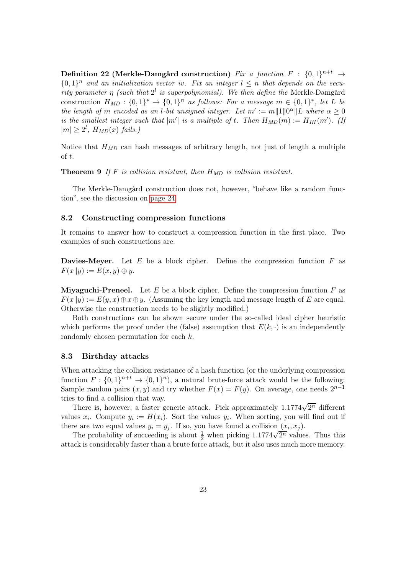<span id="page-22-3"></span><span id="page-22-2"></span> $\textbf{Definition 22 (Merkle-Damgård construction)} \ \ \textit{Fix a function} \ \ F: \ \{0,1\}^{n+t} \ \rightarrow$  $\{0,1\}^n$  and an initialization vector iv. Fix an integer  $l \leq n$  that depends on the security parameter  $\eta$  (such that  $2^l$  is superpolynomial). We then define the Merkle-Damgård construction  $H_{MD}: \{0,1\}^* \to \{0,1\}^n$  as follows: For a message  $m \in \{0,1\}^*$ , let L be the length of m encoded as an l-bit unsigned integer. Let  $m' := m||1||0^{\alpha}||L$  where  $\alpha \geq 0$ is the smallest integer such that  $|m'|$  is a multiple of t. Then  $H_{MD}(m) := H_{IH}(m')$ . (If  $|m| \geq 2^l$ ,  $H_{MD}(x)$  fails.)

Notice that  $H_{MD}$  can hash messages of arbitrary length, not just of length a multiple of t.

**Theorem 9** If F is collision resistant, then  $H_{MD}$  is collision resistant.

The Merkle-Damgård construction does not, however, "behave like a random function", see the discussion on [page 24.](#page-23-1)

#### <span id="page-22-0"></span>8.2 Constructing compression functions

It remains to answer how to construct a compression function in the first place. Two examples of such constructions are:

**Davies-Meyer.** Let  $E$  be a block cipher. Define the compression function  $F$  as  $F(x||y) := E(x, y) \oplus y.$ 

**Miyaguchi-Preneel.** Let  $E$  be a block cipher. Define the compression function  $F$  as  $F(x||y) := E(y, x) \oplus x \oplus y$ . (Assuming the key length and message length of E are equal. Otherwise the construction needs to be slightly modified.)

Both constructions can be shown secure under the so-called ideal cipher heuristic which performs the proof under the (false) assumption that  $E(k, \cdot)$  is an independently randomly chosen permutation for each k.

#### <span id="page-22-1"></span>8.3 Birthday attacks

When attacking the collision resistance of a hash function (or the underlying compression function  $F: \{0,1\}^{n+t} \to \{0,1\}^n$ , a natural brute-force attack would be the following: Sample random pairs  $(x, y)$  and try whether  $F(x) = F(y)$ . On average, one needs  $2^{n-1}$ tries to find a collision that way.

There is, however, a faster generic attack. Pick approximately  $1.1774\sqrt{2^n}$  different values  $x_i$ . Compute  $y_i := H(x_i)$ . Sort the values  $y_i$ . When sorting, you will find out if there are two equal values  $y_i = y_j$ . If so, you have found a collision  $(x_i, x_j)$ .

The probability of succeeding is about  $\frac{1}{2}$  when picking  $1.1774\sqrt{2^n}$  values. Thus this attack is considerably faster than a brute force attack, but it also uses much more memory.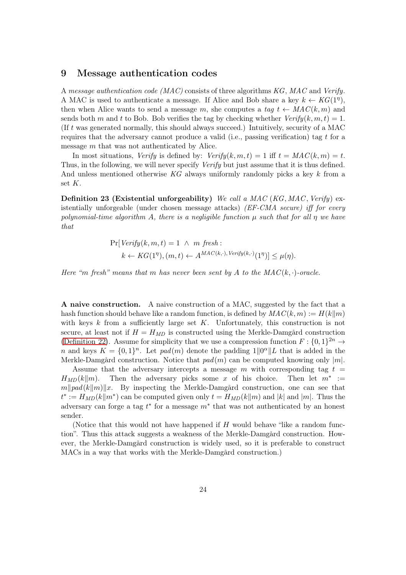#### <span id="page-23-3"></span><span id="page-23-0"></span>9 Message authentication codes

A message authentication code  $(MAC)$  consists of three algorithms KG, MAC and Verify. A MAC is used to authenticate a message. If Alice and Bob share a key  $k \leftarrow KG(1^{\eta})$ , then when Alice wants to send a message m, she computes a tag  $t \leftarrow MAC(k, m)$  and sends both m and t to Bob. Bob verifies the tag by checking whether  $Verify(k, m, t) = 1$ . (If t was generated normally, this should always succeed.) Intuitively, security of a MAC requires that the adversary cannot produce a valid (i.e., passing verification) tag  $t$  for a message m that was not authenticated by Alice.

In most situations, Verify is defined by:  $Verify(k, m, t) = 1$  iff  $t = MAC(k, m) = t$ . Thus, in the following, we will never specify *Verify* but just assume that it is thus defined. And unless mentioned otherwise KG always uniformly randomly picks a key k from a set  $K$ .

<span id="page-23-2"></span>**Definition 23 (Existential unforgeability)** We call a MAC (KG, MAC, Verify) existentially unforgeable (under chosen message attacks) (EF-CMA secure) iff for every polynomial-time algorithm A, there is a negligible function  $\mu$  such that for all  $\eta$  we have that

$$
\Pr[Verify(k, m, t) = 1 \land m \text{ fresh}: \\
k \leftarrow KG(1^{\eta}), (m, t) \leftarrow A^{MAC(k, \cdot), Verify(k, \cdot)}(1^{\eta})] \leq \mu(\eta).
$$

Here "m fresh" means that m has never been sent by A to the  $MAC(k, \cdot)$ -oracle.

A naive construction. A naive construction of a MAC, suggested by the fact that a hash function should behave like a random function, is defined by  $MAC(k, m) := H(k||m)$ with keys  $k$  from a sufficiently large set  $K$ . Unfortunately, this construction is not secure, at least not if  $H = H_{MD}$  is constructed using the Merkle-Damgård construction [\(Definition 22\)](#page-21-1). Assume for simplicity that we use a compression function  $F: \{0,1\}^{2n} \to$ n and keys  $K = \{0,1\}^n$ . Let  $pad(m)$  denote the padding  $1||0^{\alpha}||L$  that is added in the Merkle-Damgård construction. Notice that  $pad(m)$  can be computed knowing only  $|m|$ .

Assume that the adversary intercepts a message m with corresponding tag  $t =$  $H_{MD}(k||m)$ . Then the adversary picks some x of his choice. Then let  $m^* :=$  $m\|pad(k\|m)\|x$ . By inspecting the Merkle-Damgård construction, one can see that  $t^* := H_{MD}(k||m^*)$  can be computed given only  $t = H_{MD}(k||m)$  and  $|k|$  and  $|m|$ . Thus the adversary can forge a tag  $t^*$  for a message  $m^*$  that was not authenticated by an honest sender.

<span id="page-23-1"></span>(Notice that this would not have happened if  $H$  would behave "like a random function". Thus this attack suggests a weakness of the Merkle-Damgård construction. However, the Merkle-Damgård construction is widely used, so it is preferable to construct MACs in a way that works with the Merkle-Damgård construction.)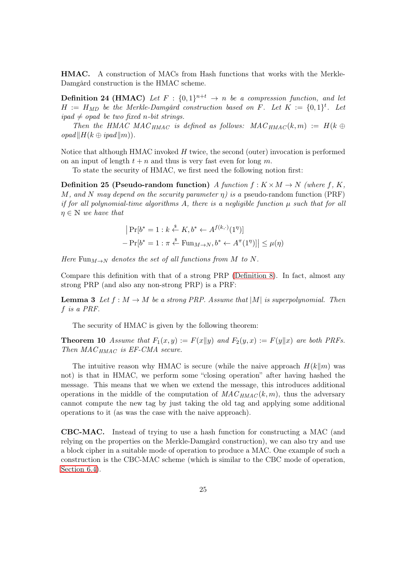<span id="page-24-0"></span>HMAC. A construction of MACs from Hash functions that works with the Merkle-Damgård construction is the HMAC scheme.

**Definition 24 (HMAC)** Let  $F : \{0,1\}^{n+t} \rightarrow n$  be a compression function, and let  $H := H_{MD}$  be the Merkle-Damgård construction based on F. Let  $K := \{0,1\}^t$ . Let  $ipad \neq opad$  be two fixed n-bit strings.

Then the HMAC MAC<sub>HMAC</sub> is defined as follows: MAC<sub>HMAC</sub> $(k, m) := H(k \oplus$  $\textit{opad} \Vert H(k \oplus \textit{ipad} \Vert m)$ .

Notice that although HMAC invoked H twice, the second (outer) invocation is performed on an input of length  $t + n$  and thus is very fast even for long m.

<span id="page-24-2"></span>To state the security of HMAC, we first need the following notion first:

**Definition 25 (Pseudo-random function)** A function  $f: K \times M \rightarrow N$  (where f, K, M, and N may depend on the security parameter  $\eta$ ) is a pseudo-random function (PRF) if for all polynomial-time algorithms A, there is a negligible function  $\mu$  such that for all  $\eta \in \mathbb{N}$  we have that

<span id="page-24-1"></span>
$$
|\Pr[b^* = 1 : k \stackrel{s}{\leftarrow} K, b^* \leftarrow A^{f(k, \cdot)}(1^{\eta})]
$$

$$
- \Pr[b^* = 1 : \pi \stackrel{s}{\leftarrow} \text{Fun}_{M \to N}, b^* \leftarrow A^{\pi}(1^{\eta})] | \leq \mu(\eta)
$$

Here Fun $_{M\rightarrow N}$  denotes the set of all functions from M to N.

Compare this definition with that of a strong PRP [\(Definition 8\)](#page-13-2). In fact, almost any strong PRP (and also any non-strong PRP) is a PRF:

**Lemma 3** Let  $f : M \to M$  be a strong PRP. Assume that  $|M|$  is superpolynomial. Then f is a PRF.

The security of HMAC is given by the following theorem:

**Theorem 10** Assume that  $F_1(x, y) := F(x||y)$  and  $F_2(y, x) := F(y||x)$  are both PRFs. Then  $MAC_{HMAC}$  is EF-CMA secure.

The intuitive reason why HMAC is secure (while the naive approach  $H(k||m)$  was not) is that in HMAC, we perform some "closing operation" after having hashed the message. This means that we when we extend the message, this introduces additional operations in the middle of the computation of  $MAC_{HMAC}(k, m)$ , thus the adversary cannot compute the new tag by just taking the old tag and applying some additional operations to it (as was the case with the naive approach).

CBC-MAC. Instead of trying to use a hash function for constructing a MAC (and relying on the properties on the Merkle-Damgård construction), we can also try and use a block cipher in a suitable mode of operation to produce a MAC. One example of such a construction is the CBC-MAC scheme (which is similar to the CBC mode of operation, [Section 6.4\)](#page-14-0).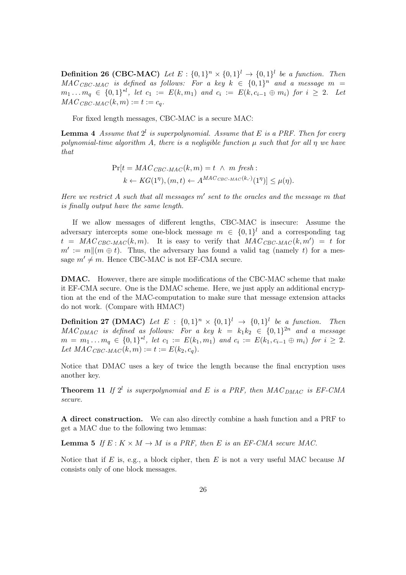<span id="page-25-1"></span><span id="page-25-0"></span>**Definition 26 (CBC-MAC)** Let  $E: \{0,1\}^n \times \{0,1\}^l \rightarrow \{0,1\}^l$  be a function. Then  $MAC_{CBC-MAC}$  is defined as follows: For a key  $k \in \{0,1\}^n$  and a message  $m =$  $m_1 \dots m_q \in \{0,1\}^{*l}, \text{ let } c_1 := E(k,m_1) \text{ and } c_i := E(k,c_{i-1} \oplus m_i) \text{ for } i \geq 2.$  Let  $MAC_{CBC-MAC}(k, m) := t := c_q.$ 

For fixed length messages, CBC-MAC is a secure MAC:

**Lemma 4** Assume that  $2^l$  is superpolynomial. Assume that E is a PRF. Then for every polynomial-time algorithm A, there is a negligible function  $\mu$  such that for all  $\eta$  we have that

$$
\Pr[t = MAC_{CBC-MAC}(k, m) = t \land m \text{ fresh}: k \leftarrow KG(1^{\eta}), (m, t) \leftarrow A^{MAC_{CBC-MAC}(k, \cdot)}(1^{\eta})] \leq \mu(\eta).
$$

Here we restrict A such that all messages  $m'$  sent to the oracles and the message m that is finally output have the same length.

If we allow messages of different lengths, CBC-MAC is insecure: Assume the adversary intercepts some one-block message  $m \in \{0,1\}^l$  and a corresponding tag  $t = MAC_{CBC-MAC}(k,m)$ . It is easy to verify that  $MAC_{CBC-MAC}(k,m') = t$  for  $m' := m \| (m \oplus t)$ . Thus, the adversary has found a valid tag (namely t) for a message  $m' \neq m$ . Hence CBC-MAC is not EF-CMA secure.

DMAC. However, there are simple modifications of the CBC-MAC scheme that make it EF-CMA secure. One is the DMAC scheme. Here, we just apply an additional encryption at the end of the MAC-computation to make sure that message extension attacks do not work. (Compare with HMAC!)

<span id="page-25-2"></span>**Definition 27 (DMAC)** Let  $E : \{0,1\}^n \times \{0,1\}^l \rightarrow \{0,1\}^l$  be a function. Then  $MAC_{DMAC}$  is defined as follows: For a key  $k = k_1 k_2 \in \{0, 1\}^{2n}$  and a message  $m = m_1 \dots m_q \in \{0,1\}^{*l}, \text{ let } c_1 := E(k_1, m_1) \text{ and } c_i := E(k_1, c_{i-1} \oplus m_i) \text{ for } i \geq 2.$ Let  $MAC_{CBC-MAC}(k, m) := t := E(k_2, c_q).$ 

Notice that DMAC uses a key of twice the length because the final encryption uses another key.

**Theorem 11** If  $2^l$  is superpolynomial and E is a PRF, then  $MAC_{DMAC}$  is EF-CMA secure.

A direct construction. We can also directly combine a hash function and a PRF to get a MAC due to the following two lemmas:

**Lemma 5** If  $E : K \times M \rightarrow M$  is a PRF, then E is an EF-CMA secure MAC.

Notice that if E is, e.g., a block cipher, then E is not a very useful MAC because M consists only of one block messages.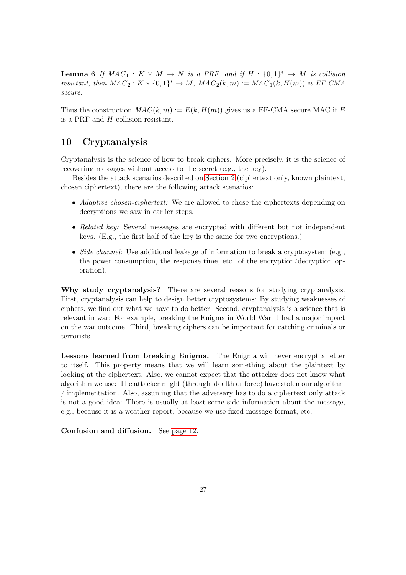**Lemma 6** If  $MAC_1 : K \times M \rightarrow N$  is a PRF, and if  $H : \{0,1\}^* \rightarrow M$  is collision resistant, then  $MAC_2: K \times \{0, 1\}^* \rightarrow M$ ,  $MAC_2(k, m) := MAC_1(k, H(m))$  is EF-CMA secure.

Thus the construction  $MAC(k, m) := E(k, H(m))$  gives us a EF-CMA secure MAC if E is a PRF and H collision resistant.

## <span id="page-26-0"></span>10 Cryptanalysis

Cryptanalysis is the science of how to break ciphers. More precisely, it is the science of recovering messages without access to the secret (e.g., the key).

Besides the attack scenarios described on [Section 2](#page-4-1) (ciphertext only, known plaintext, chosen ciphertext), there are the following attack scenarios:

- Adaptive chosen-ciphertext: We are allowed to chose the ciphertexts depending on decryptions we saw in earlier steps.
- Related key: Several messages are encrypted with different but not independent keys. (E.g., the first half of the key is the same for two encryptions.)
- Side channel: Use additional leakage of information to break a cryptosystem (e.g., the power consumption, the response time, etc. of the encryption/decryption operation).

Why study cryptanalysis? There are several reasons for studying cryptanalysis. First, cryptanalysis can help to design better cryptosystems: By studying weaknesses of ciphers, we find out what we have to do better. Second, cryptanalysis is a science that is relevant in war: For example, breaking the Enigma in World War II had a major impact on the war outcome. Third, breaking ciphers can be important for catching criminals or terrorists.

Lessons learned from breaking Enigma. The Enigma will never encrypt a letter to itself. This property means that we will learn something about the plaintext by looking at the ciphertext. Also, we cannot expect that the attacker does not know what algorithm we use: The attacker might (through stealth or force) have stolen our algorithm / implementation. Also, assuming that the adversary has to do a ciphertext only attack is not a good idea: There is usually at least some side information about the message, e.g., because it is a weather report, because we use fixed message format, etc.

Confusion and diffusion. See [page 12.](#page-11-0)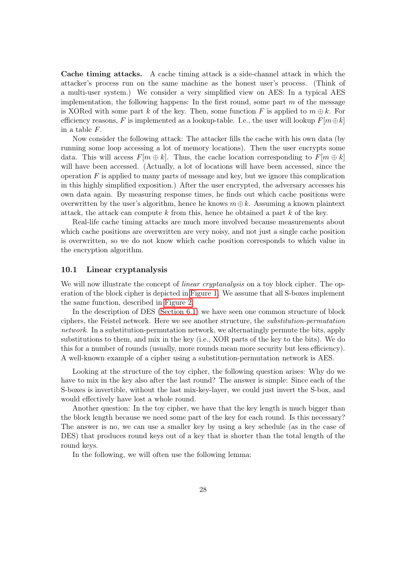<span id="page-27-1"></span>Cache timing attacks. A cache timing attack is a side-channel attack in which the attacker's process run on the same machine as the honest user's process. (Think of a multi-user system.) We consider a very simplified view on AES: In a typical AES implementation, the following happens: In the first round, some part  $m$  of the message is XORed with some part k of the key. Then, some function F is applied to  $m \oplus k$ . For efficiency reasons, F is implemented as a lookup-table. I.e., the user will lookup  $F[m \oplus k]$ in a table F.

Now consider the following attack: The attacker fills the cache with his own data (by running some loop accessing a lot of memory locations). Then the user encrypts some data. This will access  $F[m \oplus k]$ . Thus, the cache location corresponding to  $F[m \oplus k]$ will have been accessed. (Actually, a lot of locations will have been accessed, since the operation  $F$  is applied to many parts of message and key, but we ignore this complication in this highly simplified exposition.) After the user encrypted, the adversary accesses his own data again. By measuring response times, he finds out which cache positions were overwritten by the user's algorithm, hence he knows  $m \oplus k$ . Assuming a known plaintext attack, the attack can compute  $k$  from this, hence he obtained a part  $k$  of the key.

Real-life cache timing attacks are much more involved because measurements about which cache positions are overwritten are very noisy, and not just a single cache position is overwritten, so we do not know which cache position corresponds to which value in the encryption algorithm.

#### <span id="page-27-0"></span>10.1 Linear cryptanalysis

We will now illustrate the concept of *linear cryptanalysis* on a toy block cipher. The operation of the block cipher is depicted in [Figure 1.](#page-28-0) We assume that all S-boxes implement the same function, described in [Figure 2.](#page-29-0)

In the description of DES [\(Section 6.1\)](#page-10-0) we have seen one common structure of block ciphers, the Feistel network. Here we see another structure, the substitution-permutation network. In a substitution-permutation network, we alternatingly permute the bits, apply substitutions to them, and mix in the key (i.e., XOR parts of the key to the bits). We do this for a number of rounds (usually, more rounds mean more security but less efficiency). A well-known example of a cipher using a substitution-permutation network is AES.

Looking at the structure of the toy cipher, the following question arises: Why do we have to mix in the key also after the last round? The answer is simple: Since each of the S-boxes is invertible, without the last mix-key-layer, we could just invert the S-box, and would effectively have lost a whole round.

Another question: In the toy cipher, we have that the key length is much bigger than the block length because we need some part of the key for each round. Is this necessary? The answer is no, we can use a smaller key by using a key schedule (as in the case of DES) that produces round keys out of a key that is shorter than the total length of the round keys.

In the following, we will often use the following lemma: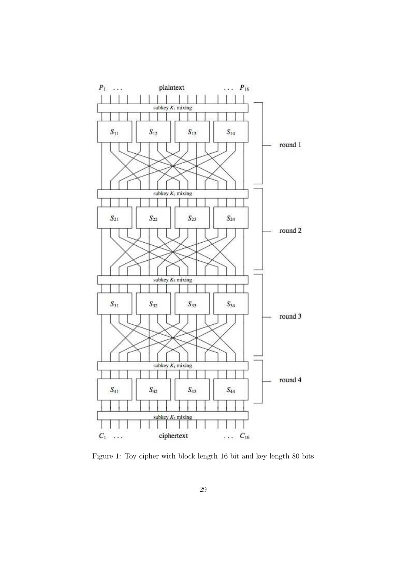

<span id="page-28-0"></span>Figure 1: Toy cipher with block length 16 bit and key length 80 bits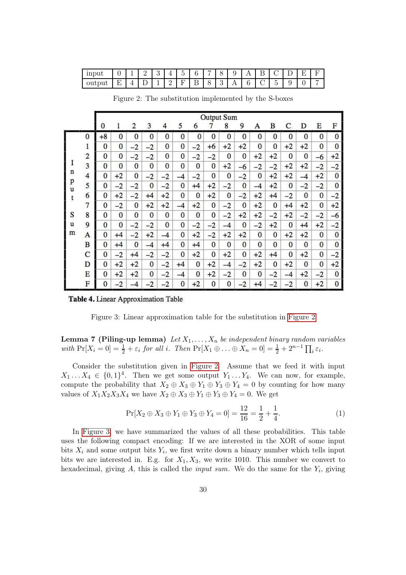<span id="page-29-3"></span>

| input  | ັ      | -        | <u>.</u> | ັ |   | $\overline{\phantom{0}}$<br>$\sim$ | $\sqrt{2}$<br>∽ | $\overline{\phantom{0}}$ |   |     | . . | $\overline{\phantom{0}}$<br>╌ | - |  |  |
|--------|--------|----------|----------|---|---|------------------------------------|-----------------|--------------------------|---|-----|-----|-------------------------------|---|--|--|
| output | н<br>∸ | <b>.</b> | ∸        |   | - | -                                  | ∸<br>-          | ີ<br>$\check{ }$         | ິ | . . | ັ   | -<br>◡                        | ٠ |  |  |

|                   |                |              |          |                |              |      |          |          |          | Output Sum |              |      |      |          |              |              |          |
|-------------------|----------------|--------------|----------|----------------|--------------|------|----------|----------|----------|------------|--------------|------|------|----------|--------------|--------------|----------|
|                   |                | 0            | 1        | $\overline{2}$ | 3            | 4    | 5        | 6        | 7        | 8          | 9            | А    | B    | С        | D            | E            | F        |
|                   | $\bf{0}$       | $+8$         | 0        | 0              | $\mathbf{0}$ | 0    | 0        | 0        | $\bf{0}$ | 0          | 0            | 0    | 0    | 0        | 0            | $\mathbf{0}$ | $\bf{0}$ |
|                   | 1              | $\Omega$     | $\bf{0}$ | $-2$           | $-2$         | 0    | 0        | $-2$     | $+6$     | $+2$       | $+2$         | 0    | 0    | $+2$     | $+2$         | $\bf{0}$     | $\bf{0}$ |
|                   | $\overline{c}$ | $\mathbf{0}$ | 0        | $-2$           | $-2$         | 0    | 0        | $-2$     | $-2$     | 0          | $\bf{0}$     | $+2$ | $+2$ | 0        | $\bf{0}$     | $-6$         | $+2$     |
| I                 | 3              | $\bf{0}$     | $\bf{0}$ | 0              | 0            | 0    | 0        | 0        | $\bf{0}$ | $+2$       | $-6$         | $-2$ | $-2$ | $+2$     | $+2$         | $-2$         | $-2$     |
| n                 | $\overline{4}$ | $\bf{0}$     | $+2$     | 0              | $-2$         | $-2$ | $-4$     | $-2$     | $\bf{0}$ | 0          | $-2$         | 0    | $+2$ | $+2$     | $-4$         | $+2$         | 0        |
| p<br>$\mathbf{u}$ | 5              | 0            | $-2$     | $-2$           | 0            | $-2$ | 0        | $+4$     | $+2$     | $-2$       | 0            | $-4$ | $+2$ | $\bf{0}$ | $-2$         | $-2$         | $\bf{0}$ |
| t                 | 6              | $\bf{0}$     | $+2$     | $-2$           | $+4$         | $+2$ | 0        | $\bf{0}$ | $+2$     | 0          | $-2$         | $+2$ | $+4$ | $-2$     | $\bf{0}$     | $\bf{0}$     | $-2$     |
|                   | 7              | 0            | $-2$     | $\bf{0}$       | $+2$         | $+2$ | $-4$     | $+2$     | $\bf{0}$ | $-2$       | $\bf{0}$     | $+2$ | 0    | $+4$     | $+2$         | $\bf{0}$     | $+2$     |
| S                 | 8              | $\Omega$     | 0        | 0              | 0            | 0    | 0        | 0        | 0        | $-2$       | $+2$         | $+2$ | $-2$ | $+2$     | $-2$         | $-2$         | -6       |
| u                 | 9              | $\bf{0}$     | $\bf{0}$ | $-2$           | $-2$         | 0    | 0        | $-2$     | $-2$     | $-4$       | $\mathbf{0}$ | $-2$ | $+2$ | $\bf{0}$ | $+4$         | $+2$         | $-2$     |
| m                 | A              | 0            | $+4$     | $-2$           | $+2$         | $-4$ | 0        | $+2$     | $-2$     | $+2$       | $+2$         | 0    | 0    | $+2$     | $+2$         | $\mathbf{0}$ | 0        |
|                   | B              | 0            | $+4$     | 0              | $-4$         | $+4$ | 0        | $+4$     | $\bf{0}$ | 0          | 0            | 0    | 0    | 0        | 0            | $\mathbf{0}$ | $\bf{0}$ |
|                   | C              | 0            | $-2$     | $+4$           | $-2$         | $-2$ | $\bf{0}$ | $+2$     | $\bf{0}$ | $+2$       | $\mathbf{0}$ | $+2$ | $+4$ | 0        | $+2$         | $\bf{0}$     | $-2$     |
|                   | D              | 0            | $+2$     | $+2$           | $\Omega$     | $-2$ | $+4$     | 0        | $+2$     | $-4$       | $-2$         | $+2$ | 0    | $+2$     | $\mathbf{0}$ | 0            | $+2$     |
|                   | E              | 0            | $+2$     | $+2$           | 0            | $-2$ | $-4$     | $\bf{0}$ | $+2$     | $-2$       | 0            | 0    | $-2$ | $-4$     | $+2$         | $-2$         | $\Omega$ |
|                   | F              | $\Omega$     | $-2$     | $-4$           | $-2$         | $-2$ | 0        | $+2$     | 0        | 0          | $-2$         | $+4$ | $-2$ | $^{-2}$  | 0            | $+2$         | 0        |

<span id="page-29-0"></span>Figure 2: The substitution implemented by the S-boxes

Table 4. Linear Approximation Table

<span id="page-29-1"></span>Figure 3: Linear approximation table for the substitution in [Figure 2](#page-29-0)

Lemma 7 (Piling-up lemma) Let  $X_1, \ldots, X_n$  be independent binary random variables with  $\Pr[X_i = 0] = \frac{1}{2} + \varepsilon_i$  for all i. Then  $\Pr[X_1 \oplus \ldots \oplus X_n = 0] = \frac{1}{2} + 2^{n-1} \prod_i \varepsilon_i$ .

Consider the substitution given in [Figure 2.](#page-29-0) Assume that we feed it with input  $X_1 \ldots X_4 \in \{0,1\}^4$ . Then we get some output  $Y_1 \ldots Y_4$ . We can now, for example, compute the probability that  $X_2 \oplus X_3 \oplus Y_1 \oplus Y_3 \oplus Y_4 = 0$  by counting for how many values of  $X_1X_2X_3X_4$  we have  $X_2 \oplus X_3 \oplus Y_1 \oplus Y_3 \oplus Y_4 = 0$ . We get

<span id="page-29-2"></span>
$$
\Pr[X_2 \oplus X_3 \oplus Y_1 \oplus Y_3 \oplus Y_4 = 0] = \frac{12}{16} = \frac{1}{2} + \frac{1}{4}.
$$
 (1)

In [Figure 3,](#page-29-1) we have summarized the values of all these probabilities. This table uses the following compact encoding: If we are interested in the XOR of some input bits  $X_i$  and some output bits  $Y_i$ , we first write down a binary number which tells input bits we are interested in. E.g. for  $X_1, X_3$ , we write 1010. This number we convert to hexadecimal, giving A, this is called the *input sum*. We do the same for the  $Y_i$ , giving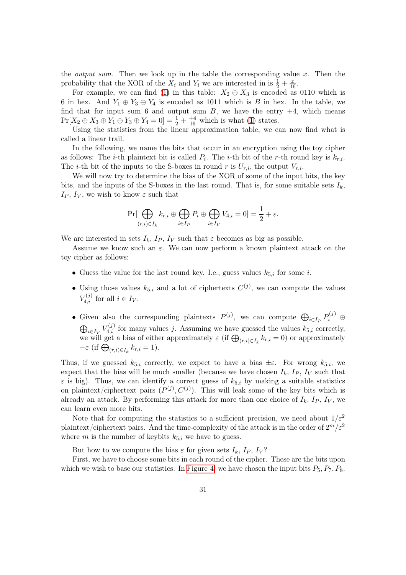<span id="page-30-0"></span>the *output sum*. Then we look up in the table the corresponding value  $x$ . Then the probability that the XOR of the  $X_i$  and  $Y_i$  we are interested in is  $\frac{1}{2} + \frac{x}{16}$ .

For example, we can find [\(1\)](#page-29-2) in this table:  $X_2 \oplus X_3$  is encoded as 0110 which is 6 in hex. And  $Y_1 \oplus Y_3 \oplus Y_4$  is encoded as 1011 which is B in hex. In the table, we find that for input sum 6 and output sum  $B$ , we have the entry  $+4$ , which means  $Pr[X_2 \oplus X_3 \oplus Y_1 \oplus Y_3 \oplus Y_4 = 0] = \frac{1}{2} + \frac{+4}{16}$  which is what [\(1\)](#page-29-2) states.

Using the statistics from the linear approximation table, we can now find what is called a linear trail.

In the following, we name the bits that occur in an encryption using the toy cipher as follows: The *i*-th plaintext bit is called  $P_i$ . The *i*-th bit of the *r*-th round key is  $k_{r,i}$ . The *i*-th bit of the inputs to the S-boxes in round r is  $U_{r,i}$ , the output  $V_{r,i}$ .

We will now try to determine the bias of the XOR of some of the input bits, the key bits, and the inputs of the S-boxes in the last round. That is, for some suitable sets  $I_k$ , Ip, I<sub>V</sub>, we wish to know  $\varepsilon$  such that

$$
\Pr[\bigoplus_{(r,i)\in I_k} k_{r,i} \oplus \bigoplus_{i\in I_P} P_i \oplus \bigoplus_{i\in I_V} V_{4,i} = 0] = \frac{1}{2} + \varepsilon.
$$

We are interested in sets  $I_k$ ,  $I_P$ ,  $I_V$  such that  $\varepsilon$  becomes as big as possible.

Assume we know such an  $\varepsilon$ . We can now perform a known plaintext attack on the toy cipher as follows:

- Guess the value for the last round key. I.e., guess values  $k_{5,i}$  for some *i*.
- Using those values  $k_{5,i}$  and a lot of ciphertexts  $C^{(j)}$ , we can compute the values  $V_{4,i}^{(j)}$  for all  $i \in I_V$ .
- Given also the corresponding plaintexts  $P^{(j)}$ , we can compute  $\bigoplus_{i\in I_P} P_i^{(j)}$   $\oplus$  $\bigoplus_{i\in I_V} V_{4,i}^{(j)}$  for many values j. Assuming we have guessed the values  $k_{5,i}$  correctly, we will get a bias of either approximately  $\varepsilon$  (if  $\bigoplus_{(r,i)\in I_k} k_{r,i} = 0$ ) or approximately  $-\varepsilon$  (if  $\bigoplus_{(r,i)\in I_k} k_{r,i} = 1$ ).

Thus, if we guessed  $k_{5,i}$  correctly, we expect to have a bias  $\pm \varepsilon$ . For wrong  $k_{5,i}$ , we expect that the bias will be much smaller (because we have chosen  $I_k$ ,  $I_P$ ,  $I_V$  such that  $\varepsilon$  is big). Thus, we can identify a correct guess of  $k_{5,i}$  by making a suitable statistics on plaintext/ciphertext pairs  $(P^{(j)}, C^{(j)})$ . This will leak some of the key bits which is already an attack. By performing this attack for more than one choice of  $I_k$ ,  $I_P$ ,  $I_V$ , we can learn even more bits.

Note that for computing the statistics to a sufficient precision, we need about  $1/\varepsilon^2$ plaintext/ciphertext pairs. And the time-complexity of the attack is in the order of  $2^m/\varepsilon^2$ where  $m$  is the number of keybits  $k_{5,i}$  we have to guess.

But how to we compute the bias  $\varepsilon$  for given sets  $I_k$ ,  $I_P$ ,  $I_V$ ?

First, we have to choose some bits in each round of the cipher. These are the bits upon which we wish to base our statistics. In [Figure 4,](#page-31-0) we have chosen the input bits  $P_5$ ,  $P_7$ ,  $P_8$ .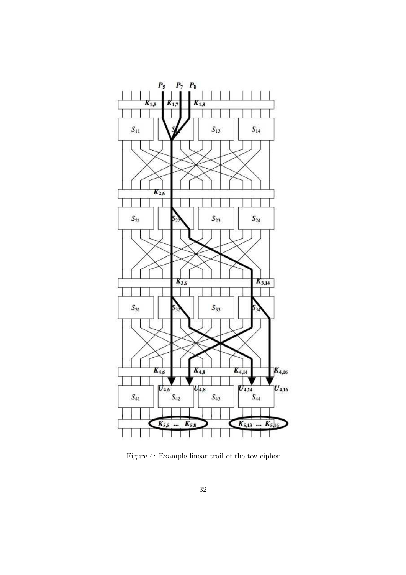

<span id="page-31-0"></span>Figure 4: Example linear trail of the toy cipher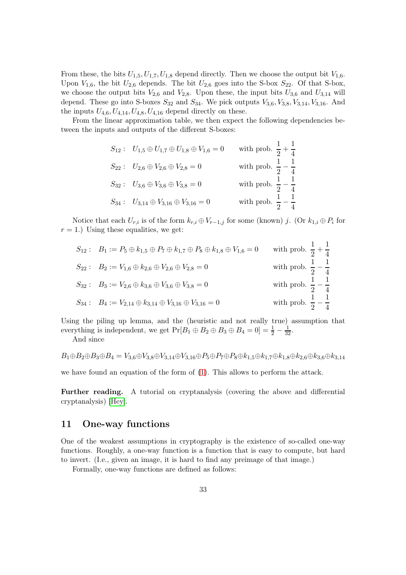From these, the bits  $U_{1,5}, U_{1,7}, U_{1,8}$  depend directly. Then we choose the output bit  $V_{1,6}$ . Upon  $V_{1,6}$ , the bit  $U_{2,6}$  depends. The bit  $U_{2,6}$  goes into the S-box  $S_{22}$ . Of that S-box, we choose the output bits  $V_{2,6}$  and  $V_{2,8}$ . Upon these, the input bits  $U_{3,6}$  and  $U_{3,14}$  will depend. These go into S-boxes  $S_{32}$  and  $S_{34}$ . We pick outputs  $V_{3,6}$ ,  $V_{3,8}$ ,  $V_{3,14}$ ,  $V_{3,16}$ . And the inputs  $U_{4,6}, U_{4,14}, U_{4,8}, U_{4,16}$  depend directly on these.

From the linear approximation table, we then expect the following dependencies between the inputs and outputs of the different S-boxes:

| $S_{12}: U_{1,5} \oplus U_{1,7} \oplus U_{1,8} \oplus V_{1,6} = 0$ | with prob. $\frac{1}{2} + \frac{1}{4}$ |
|--------------------------------------------------------------------|----------------------------------------|
| $S_{22}: U_{2,6} \oplus V_{2,6} \oplus V_{2,8} = 0$                | with prob. $\frac{1}{2} - \frac{1}{4}$ |
| $S_{32}: U_{3,6} \oplus V_{3,6} \oplus V_{3,8} = 0$                | with prob. $\frac{1}{2} - \frac{1}{4}$ |
| $S_{34}: U_{3,14} \oplus V_{3,16} \oplus V_{3,16} = 0$             | with prob. $\frac{1}{2} - \frac{1}{4}$ |

Notice that each  $U_{r,i}$  is of the form  $k_{r,i} \oplus V_{r-1,j}$  for some (known) j. (Or  $k_{1,i} \oplus P_i$  for  $r = 1$ .) Using these equalities, we get:

$$
S_{12}: B_1 := P_5 \oplus k_{1,5} \oplus P_7 \oplus k_{1,7} \oplus P_8 \oplus k_{1,8} \oplus V_{1,6} = 0 \quad \text{with prob. } \frac{1}{2} + \frac{1}{4}
$$
  
\n
$$
S_{22}: B_2 := V_{1,6} \oplus k_{2,6} \oplus V_{2,6} \oplus V_{2,8} = 0 \quad \text{with prob. } \frac{1}{2} - \frac{1}{4}
$$
  
\n
$$
S_{32}: B_3 := V_{2,6} \oplus k_{3,6} \oplus V_{3,6} \oplus V_{3,8} = 0 \quad \text{with prob. } \frac{1}{2} - \frac{1}{4}
$$
  
\n
$$
S_{34}: B_4 := V_{2,14} \oplus k_{3,14} \oplus V_{3,16} \oplus V_{3,16} = 0 \quad \text{with prob. } \frac{1}{2} - \frac{1}{4}
$$

Using the piling up lemma, and the (heuristic and not really true) assumption that everything is independent, we get  $Pr[B_1 \oplus B_2 \oplus B_3 \oplus B_4 = 0] = \frac{1}{2} - \frac{1}{32}$ .

And since

$$
B_1 \oplus B_2 \oplus B_3 \oplus B_4 = V_{3,6} \oplus V_{3,8} \oplus V_{3,14} \oplus V_{3,16} \oplus P_5 \oplus P_7 \oplus P_8 \oplus k_{1,5} \oplus k_{1,7} \oplus k_{1,8} \oplus k_{2,6} \oplus k_{3,6} \oplus k_{3,14}
$$

we have found an equation of the form of [\(1\)](#page-29-2). This allows to perform the attack.

Further reading. A tutorial on cryptanalysis (covering the above and differential cryptanalysis) [\[Hey\]](#page-47-1).

#### <span id="page-32-0"></span>11 One-way functions

One of the weakest assumptions in cryptography is the existence of so-called one-way functions. Roughly, a one-way function is a function that is easy to compute, but hard to invert. (I.e., given an image, it is hard to find any preimage of that image.)

Formally, one-way functions are defined as follows: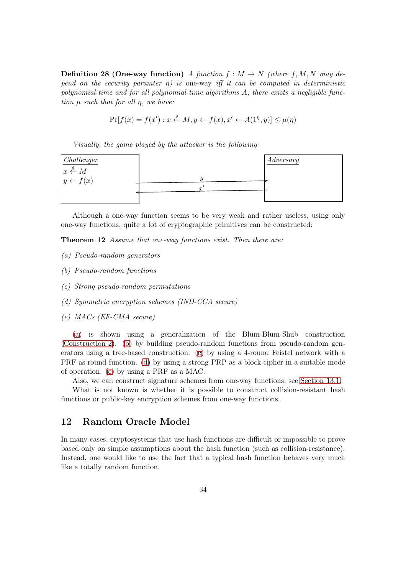<span id="page-33-7"></span>**Definition 28 (One-way function)** A function  $f : M \to N$  (where f, M, N may depend on the security paramter  $\eta$ ) is one-way iff it can be computed in deterministic polynomial-time and for all polynomial-time algorithms A, there exists a negligible function  $\mu$  such that for all  $\eta$ , we have:

<span id="page-33-6"></span>
$$
\Pr[f(x) = f(x') : x \stackrel{\$}{\leftarrow} M, y \leftarrow f(x), x' \leftarrow A(1^n, y)] \leq \mu(\eta)
$$

Visually, the game played by the attacker is the following:



Although a one-way function seems to be very weak and rather useless, using only one-way functions, quite a lot of cryptographic primitives can be constructed:

<span id="page-33-1"></span>Theorem 12 Assume that one-way functions exist. Then there are:

- <span id="page-33-2"></span>(a) Pseudo-random generators
- <span id="page-33-3"></span>(b) Pseudo-random functions
- <span id="page-33-4"></span>(c) Strong pseudo-random permutations
- <span id="page-33-5"></span>(d) Symmetric encryption schemes (IND-CCA secure)
- (e) MACs (EF-CMA secure)

[\(a\)](#page-33-1) is shown using a generalization of the Blum-Blum-Shub construction [\(Construction 2\)](#page-8-4). [\(b\)](#page-33-2) by building pseudo-random functions from pseudo-random generators using a tree-based construction. [\(c\)](#page-33-3) by using a 4-round Feistel network with a PRF as round function. [\(d\)](#page-33-4) by using a strong PRP as a block cipher in a suitable mode of operation. [\(e\)](#page-33-5) by using a PRF as a MAC.

Also, we can construct signature schemes from one-way functions, see [Section 13.1.](#page-37-0)

What is not known is whether it is possible to construct collision-resistant hash functions or public-key encryption schemes from one-way functions.

## <span id="page-33-0"></span>12 Random Oracle Model

In many cases, cryptosystems that use hash functions are difficult or impossible to prove based only on simple assumptions about the hash function (such as collision-resistance). Instead, one would like to use the fact that a typical hash function behaves very much like a totally random function.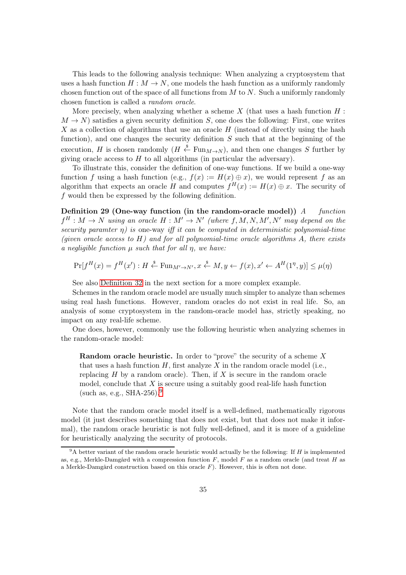<span id="page-34-1"></span>This leads to the following analysis technique: When analyzing a cryptosystem that uses a hash function  $H : M \to N$ , one models the hash function as a uniformly randomly chosen function out of the space of all functions from  $M$  to  $N$ . Such a uniformly randomly chosen function is called a random oracle.

More precisely, when analyzing whether a scheme  $X$  (that uses a hash function  $H$ :  $M \to N$ ) satisfies a given security definition S, one does the following: First, one writes  $X$  as a collection of algorithms that use an oracle  $H$  (instead of directly using the hash function), and one changes the security definition  $S$  such that at the beginning of the execution, H is chosen randomly  $(H \stackrel{s}{\leftarrow} \text{Fun}_{M \to N})$ , and then one changes S further by giving oracle access to  $H$  to all algorithms (in particular the adversary).

To illustrate this, consider the definition of one-way functions. If we build a one-way function f using a hash function (e.g.,  $f(x) := H(x) \oplus x$ ), we would represent f as an algorithm that expects an oracle H and computes  $f^H(x) := H(x) \oplus x$ . The security of f would then be expressed by the following definition.

Definition 29 (One-way function (in the random-oracle model))  $A$  function  $f^H: M \to N$  using an oracle  $H: M' \to N'$  (where  $f, M, N, M', N'$  may depend on the security paramter  $\eta$ ) is one-way iff it can be computed in deterministic polynomial-time (given oracle access to  $H$ ) and for all polynomial-time oracle algorithms A, there exists a negligible function  $\mu$  such that for all  $\eta$ , we have:

$$
\Pr[f^H(x) = f^H(x') : H \xleftarrow{\$} \text{Fun}_{M' \to N'}, x \xleftarrow{\$} M, y \leftarrow f(x), x' \leftarrow A^H(1^{\eta}, y)] \leq \mu(\eta)
$$

See also [Definition 32](#page-40-1) in the next section for a more complex example.

Schemes in the random oracle model are usually much simpler to analyze than schemes using real hash functions. However, random oracles do not exist in real life. So, an analysis of some cryptosystem in the random-oracle model has, strictly speaking, no impact on any real-life scheme.

One does, however, commonly use the following heuristic when analyzing schemes in the random-oracle model:

**Random oracle heuristic.** In order to "prove" the security of a scheme  $X$ that uses a hash function  $H$ , first analyze X in the random oracle model (i.e., replacing  $H$  by a random oracle). Then, if  $X$  is secure in the random oracle model, conclude that  $X$  is secure using a suitably good real-life hash function (such as, e.g.,  $SHA-256$ ).<sup>[9](#page-34-0)</sup>

Note that the random oracle model itself is a well-defined, mathematically rigorous model (it just describes something that does not exist, but that does not make it informal), the random oracle heuristic is not fully well-defined, and it is more of a guideline for heuristically analyzing the security of protocols.

<span id="page-34-0"></span> $9A$  better variant of the random oracle heuristic would actually be the following: If H is implemented as, e.g., Merkle-Damgård with a compression function  $F$ , model  $F$  as a random oracle (and treat  $H$  as a Merkle-Damgård construction based on this oracle F). However, this is often not done.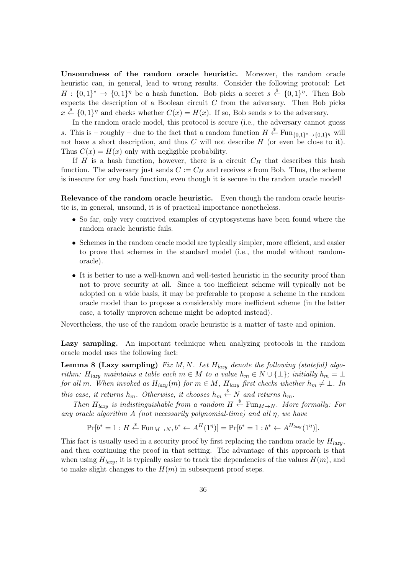<span id="page-35-0"></span>Unsoundness of the random oracle heuristic. Moreover, the random oracle heuristic can, in general, lead to wrong results. Consider the following protocol: Let  $H: \{0,1\}^* \to \{0,1\}^{\eta}$  be a hash function. Bob picks a secret  $s \stackrel{\$}{\leftarrow} \{0,1\}^{\eta}$ . Then Bob expects the description of a Boolean circuit  $C$  from the adversary. Then Bob picks  $x \stackrel{\$}{\leftarrow} \{0,1\}^{\eta}$  and checks whether  $C(x) = H(x)$ . If so, Bob sends s to the adversary.

In the random oracle model, this protocol is secure (i.e., the adversary cannot guess s. This is – roughly – due to the fact that a random function  $H \overset{\$}{\leftarrow} \text{Fun}_{\{0,1\}^* \to \{0,1\}^{\eta}}$  will not have a short description, and thus  $C$  will not describe  $H$  (or even be close to it). Thus  $C(x) = H(x)$  only with negligible probability.

If  $H$  is a hash function, however, there is a circuit  $C_H$  that describes this hash function. The adversary just sends  $C := C_H$  and receives s from Bob. Thus, the scheme is insecure for *any* hash function, even though it is secure in the random oracle model!

Relevance of the random oracle heuristic. Even though the random oracle heuristic is, in general, unsound, it is of practical importance nonetheless.

- So far, only very contrived examples of cryptosystems have been found where the random oracle heuristic fails.
- Schemes in the random oracle model are typically simpler, more efficient, and easier to prove that schemes in the standard model (i.e., the model without randomoracle).
- It is better to use a well-known and well-tested heuristic in the security proof than not to prove security at all. Since a too inefficient scheme will typically not be adopted on a wide basis, it may be preferable to propose a scheme in the random oracle model than to propose a considerably more inefficient scheme (in the latter case, a totally unproven scheme might be adopted instead).

Nevertheless, the use of the random oracle heuristic is a matter of taste and opinion.

Lazy sampling. An important technique when analyzing protocols in the random oracle model uses the following fact:

**Lemma 8 (Lazy sampling)** Fix M, N. Let  $H_{lazy}$  denote the following (stateful) algorithm:  $H_{lazy}$  maintains a table each  $m \in M$  to a value  $h_m \in N \cup \{\perp\}$ ; initially  $h_m = \perp$ for all m. When invoked as  $H_{lazy}(m)$  for  $m \in M$ ,  $H_{lazy}$  first checks whether  $h_m \neq \bot$ . In this case, it returns  $h_m$ . Otherwise, it chooses  $h_m \overset{\$}{\leftarrow} N$  and returns  $h_m$ .

Then  $H_{lazy}$  is indistinguishable from a random  $H \stackrel{\$}{\leftarrow} \text{Fun}_{M \rightarrow N}$ . More formally: For any oracle algorithm A (not necessarily polynomial-time) and all  $\eta$ , we have

$$
\Pr[b^* = 1 : H \stackrel{\$}{\leftarrow} \text{Fun}_{M \to N}, b^* \leftarrow A^H(1^{\eta})] = \Pr[b^* = 1 : b^* \leftarrow A^{H_{lazy}}(1^{\eta})].
$$

This fact is usually used in a security proof by first replacing the random oracle by  $H_{lazy}$ , and then continuing the proof in that setting. The advantage of this approach is that when using  $H_{lazy}$ , it is typically easier to track the dependencies of the values  $H(m)$ , and to make slight changes to the  $H(m)$  in subsequent proof steps.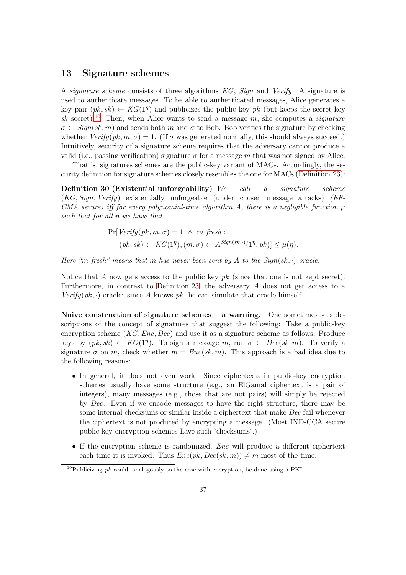## <span id="page-36-2"></span><span id="page-36-0"></span>13 Signature schemes

A signature scheme consists of three algorithms  $KG$ , Sign and Verify. A signature is used to authenticate messages. To be able to authenticated messages, Alice generates a key pair  $(pk, sk) \leftarrow KG(1<sup>\eta</sup>)$  and publicizes the public key pk (but keeps the secret key sk secret).<sup>[10](#page-36-1)</sup> Then, when Alice wants to send a message m, she computes a *signature*  $\sigma \leftarrow$  Sign(sk, m) and sends both m and  $\sigma$  to Bob. Bob verifies the signature by checking whether  $Verify(pk, m, \sigma) = 1$ . (If  $\sigma$  was generated normally, this should always succeed.) Intuitively, security of a signature scheme requires that the adversary cannot produce a valid (i.e., passing verification) signature  $\sigma$  for a message m that was not signed by Alice.

That is, signatures schemes are the public-key variant of MACs. Accordingly, the security definition for signature schemes closely resembles the one for MACs [\(Definition 23\)](#page-23-2):

Definition 30 (Existential unforgeability) We call a signature scheme  $(KG, Sign, Verify)$  existentially unforgeable (under chosen message attacks)  $(EF-$ CMA secure) iff for every polynomial-time algorithm A, there is a negligible function  $\mu$ such that for all η we have that

$$
\Pr[Verify(pk, m, \sigma) = 1 \land m \text{ fresh:}
$$
  

$$
(pk, sk) \leftarrow KG(1^{\eta}), (m, \sigma) \leftarrow A^{\text{Sign}(sk, \cdot)}(1^{\eta}, pk)] \leq \mu(\eta).
$$

Here "m fresh" means that m has never been sent by A to the Sign(sk,  $\cdot$ )-oracle.

Notice that A now gets access to the public key  $pk$  (since that one is not kept secret). Furthermore, in contrast to [Definition 23,](#page-23-2) the adversary A does not get access to a Verify(pk,  $\cdot$ )-oracle: since A knows pk, he can simulate that oracle himself.

Naive construction of signature schemes  $-$  a warning. One sometimes sees descriptions of the concept of signatures that suggest the following: Take a public-key encryption scheme  $(KG,Enc, Dec)$  and use it as a signature scheme as follows: Produce keys by  $(pk, sk) \leftarrow KG(1<sup>n</sup>)$ . To sign a message m, run  $\sigma \leftarrow Dec(sk, m)$ . To verify a signature  $\sigma$  on m, check whether  $m = Enc(sk, m)$ . This approach is a bad idea due to the following reasons:

- In general, it does not even work: Since ciphertexts in public-key encryption schemes usually have some structure (e.g., an ElGamal ciphertext is a pair of integers), many messages (e.g., those that are not pairs) will simply be rejected by Dec. Even if we encode messages to have the right structure, there may be some internal checksums or similar inside a ciphertext that make Dec fail whenever the ciphertext is not produced by encrypting a message. (Most IND-CCA secure public-key encryption schemes have such "checksums".)
- If the encryption scheme is randomized, *Enc* will produce a different ciphertext each time it is invoked. Thus  $Enc(pk, Dec(sk, m)) \neq m$  most of the time.

<span id="page-36-1"></span><sup>&</sup>lt;sup>10</sup>Publicizing *pk* could, analogously to the case with encryption, be done using a PKI.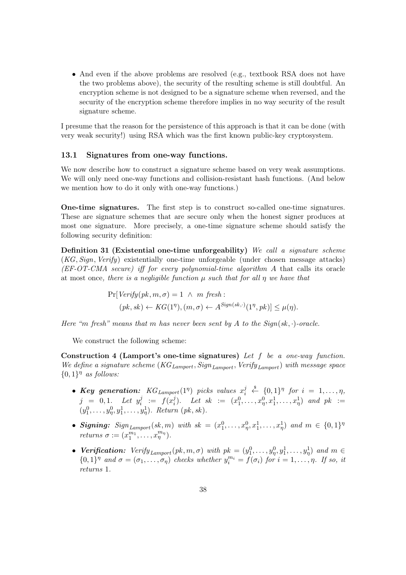<span id="page-37-2"></span>• And even if the above problems are resolved (e.g., textbook RSA does not have the two problems above), the security of the resulting scheme is still doubtful. An encryption scheme is not designed to be a signature scheme when reversed, and the security of the encryption scheme therefore implies in no way security of the result signature scheme.

I presume that the reason for the persistence of this approach is that it can be done (with very weak security!) using RSA which was the first known public-key cryptosystem.

#### <span id="page-37-0"></span>13.1 Signatures from one-way functions.

We now describe how to construct a signature scheme based on very weak assumptions. We will only need one-way functions and collision-resistant hash functions. (And below we mention how to do it only with one-way functions.)

One-time signatures. The first step is to construct so-called one-time signatures. These are signature schemes that are secure only when the honest signer produces at most one signature. More precisely, a one-time signature scheme should satisfy the following security definition:

Definition 31 (Existential one-time unforgeability) We call a signature scheme (KG, Sign, Verify) existentially one-time unforgeable (under chosen message attacks) (EF-OT-CMA secure) iff for every polynomial-time algorithm A that calls its oracle at most once, there is a negligible function  $\mu$  such that for all  $\eta$  we have that

$$
\Pr[Verify(pk, m, \sigma) = 1 \ \land \ m \ fresh:
$$
  

$$
(pk, sk) \leftarrow KG(1^{\eta}), (m, \sigma) \leftarrow A^{Sign(sk, \cdot)}(1^{\eta}, pk)] \leq \mu(\eta).
$$

Here "m fresh" means that m has never been sent by A to the  $Sign(s_k, \cdot)$ -oracle.

We construct the following scheme:

Construction 4 (Lamport's one-time signatures) Let  $f$  be a one-way function. We define a signature scheme  $(KG_{Lamport}, Sign_{Lamport}, Verify_{Lamport})$  with message space  $\{0,1\}$ <sup>n</sup> as follows:

- Key generation:  $KG_{Lamport}(1^{\eta})$  picks values  $x_i^j \stackrel{\$}{\leftarrow} \{0,1\}^{\eta}$  for  $i = 1, \ldots, \eta$ , i  $j = 0, 1$ . Let  $y_i^j$  $j_i := f(x_i^j)$  $\hat{y}^j_i$ ). Let  $sk := (x^0_1, \ldots, x^0_\eta, x^1_1, \ldots, x^1_\eta)$  and  $pk :=$  $(y_1^0, \ldots, y_\eta^0, y_1^1, \ldots, y_\eta^1)$ . Return  $(pk, sk)$ .
- Signing:  $Sign_{Lamport}(sk, m)$  with  $sk = (x_1^0, \ldots, x_n^0, x_1^1, \ldots, x_n^1)$  and  $m \in \{0, 1\}^n$ *returns*  $\sigma := (x_1^{m_1})$  $\frac{m_1}{1}, \ldots, x_{\eta}^{m_{\eta}}$ ).
- <span id="page-37-1"></span>• Verification:  $Verify_{Lamport}(pk, m, \sigma)$  with  $pk = (y_1^0, \ldots, y_n^0, y_1^1, \ldots, y_n^1)$  and  $m \in$  $\{0,1\}^{\eta}$  and  $\sigma = (\sigma_1, \ldots, \sigma_{\eta})$  checks whether  $y_i^{m_i} = f(\sigma_i)$  for  $i = 1, \ldots, \eta$ . If so, it returns 1.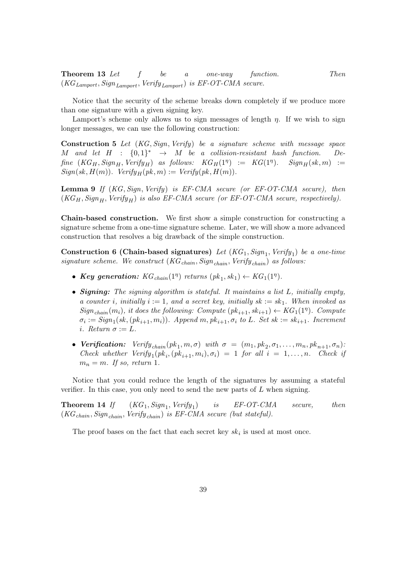**Theorem 13** Let f be a one-way function. Then  $(KG_{Lamport}, Sign_{Lamport}, Verify_{Lamport})$  is EF-OT-CMA secure.

Notice that the security of the scheme breaks down completely if we produce more than one signature with a given signing key.

Lamport's scheme only allows us to sign messages of length  $\eta$ . If we wish to sign longer messages, we can use the following construction:

Construction 5 Let (KG, Sign, Verify) be a signature scheme with message space M and let  $H$  :  $\{0,1\}^*$   $\rightarrow$  M be a collision-resistant hash function. De- $\text{frac } (KG_H, \text{Sign}_H, \text{Verify}_H)$  as follows:  $KG_H(1^{\eta}) := KG(1^{\eta})$ .  $\text{Sign}_H(\text{sk}, m) :=$  $Sign(sk, H(m))$ .  $Verify_H(pk, m) := Verify(pk, H(m))$ .

<span id="page-38-0"></span>**Lemma 9** If  $(KG, Sign, Verify)$  is EF-CMA secure (or EF-OT-CMA secure), then  $(KG_H, Sign_H, Verify_H)$  is also EF-CMA secure (or EF-OT-CMA secure, respectively).

Chain-based construction. We first show a simple construction for constructing a signature scheme from a one-time signature scheme. Later, we will show a more advanced construction that resolves a big drawback of the simple construction.

Construction 6 (Chain-based signatures) Let  $(KG_1, Sign_1, Verify_1)$  be a one-time signature scheme. We construct  $(KG<sub>chain</sub>, Sign<sub>chain</sub>, Verify<sub>chain</sub>)$  as follows:

- Key generation:  $KG_{chain}(1<sup>\eta</sup>)$  returns  $(pk_1, sk_1) \leftarrow KG_1(1<sup>\eta</sup>)$ .
- Signing: The signing algorithm is stateful. It maintains a list L, initially empty, a counter i, initially  $i := 1$ , and a secret key, initially  $sk := sk_1$ . When invoked as  $Sign_{chain}(m_i)$ , it does the following: Compute  $(pk_{i+1}, sk_{i+1}) \leftarrow KG_1(1)$ . Compute  $\sigma_i := Sign_1(sk, (pk_{i+1}, m_i))$ . Append m,  $pk_{i+1}, \sigma_i$  to L. Set  $sk := sk_{i+1}$ . Increment i. Return  $\sigma := L$ .
- Verification:  $Verify_{chain}(pk_1, m, \sigma)$  with  $\sigma = (m_1, pk_2, \sigma_1, \ldots, m_n, pk_{n+1}, \sigma_n)$ : Check whether  $Verify_1(pk_i, (pk_{i+1}, m_i), \sigma_i) = 1$  for all  $i = 1, ..., n$ . Check if  $m_n = m$ . If so, return 1.

Notice that you could reduce the length of the signatures by assuming a stateful verifier. In this case, you only need to send the new parts of  $L$  when signing.

Theorem 14  $If$  $(KG_1, Sign_1, Verify_1)$ ) is EF-OT-CMA secure, then  $(KG_{chain}, Sign_{chain}, Verify_{chain})$  is EF-CMA secure (but stateful).

The proof bases on the fact that each secret key  $sk_i$  is used at most once.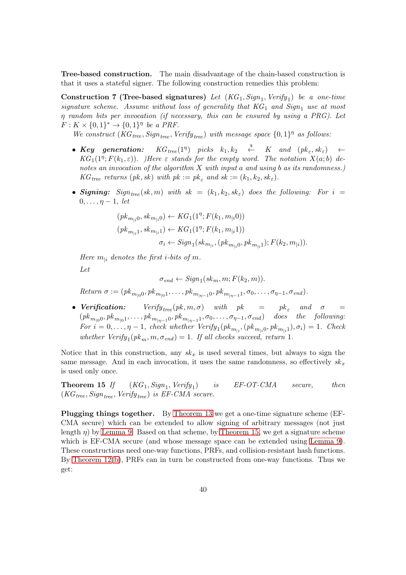Tree-based construction. The main disadvantage of the chain-based construction is that it uses a stateful signer. The following construction remedies this problem:

Construction 7 (Tree-based signatures) Let  $(KG_1, Sign_1, Verify_1)$  be a one-time signature scheme. Assume without loss of generality that  $KG_1$  and  $Sign_1$  use at most  $\eta$  random bits per invocation (if necessary, this can be ensured by using a PRG). Let  $F: K \times \{0,1\}^* \rightarrow \{0,1\}^{\eta}$  be a PRF.

We construct  $(KG_{tree}, Sign_{tree}, Verify_{tree})$  with message space  $\{0,1\}^{\eta}$  as follows:

- $Key$  generation:  $\left( \begin{array}{cccc} \text{\textit{picks}} & k_1, k_2 & \stackrel{\$}{\leftarrow} & K \end{array} \right. \ \ \text{\textit{and}} \ \ \left( \text{\textit{pk}}_{\varepsilon}, \text{\textit{sk}}_{\varepsilon} \right) \quad \leftarrow$  $KG_1(1^n; F(k_1, \varepsilon))$ . Here  $\varepsilon$  stands for the empty word. The notation  $X(a;b)$  denotes an invocation of the algorithm X with input a and using b as its randomness.)  $KG_{tree}$  returns  $(pk, sk)$  with  $pk := pk_{\epsilon}$  and  $sk := (k_1, k_2, sk_{\epsilon}).$
- Signing:  $Sign_{tree}(sk, m)$  with  $sk = (k_1, k_2, sk_{\varepsilon})$  does the following: For  $i =$  $0, \ldots, \eta-1$ , let

$$
(pk_{m_{|i}0}, sk_{m_{|i}0}) \leftarrow KG_1(1^n; F(k_1, m_{|i}0))
$$
  
\n
$$
(pk_{m_{|i}1}, sk_{m_{|i}1}) \leftarrow KG_1(1^n; F(k_1, m_{|i}1))
$$
  
\n
$$
\sigma_i \leftarrow Sign_1(kk_{m_{|i}}, (pk_{m_{|i}0}, pk_{m_{|i}1}); F(k_2, m_{|i})).
$$

Here  $m_{1i}$  denotes the first *i*-bits of m.

Let

 $\sigma_{end} \leftarrow Sign_1(k_m, m; F(k_2, m)).$ 

Return  $\sigma := (pk_{m_{|0}0}, pk_{m_{|0}1}, \ldots, pk_{m_{|n-1}0}, pk_{m_{|n-1}1}, \sigma_0, \ldots, \sigma_{n-1}, \sigma_{end}).$ 

• Verification:  $Verify_{tree}(pk, m, \sigma)$  with  $pk = pk_{\varepsilon}$  and  $\sigma =$  $(pk_{m_{|0}0}, pk_{m_{|0}1}, \ldots, pk_{m_{|n-1}0}, pk_{m_{|n-1}1}, \sigma_0, \ldots, \sigma_{n-1}, \sigma_{end})$  does the following: For  $i = 0, \ldots, \eta - 1$ , check whether  $Verify_1(pk_{m_{|i}}, (pk_{m_{|i}0}, pk_{m_{|i}1}), \sigma_i) = 1$ . Check whether  $Verify_1(pk_m, m, \sigma_{end}) = 1$ . If all checks succeed, return 1.

Notice that in this construction, any  $sk_x$  is used several times, but always to sign the same message. And in each invocation, it uses the same randomness, so effectively  $sk_x$ is used only once.

<span id="page-39-0"></span>Theorem  $15$  If  $(KG_1, Sign_1, Verify_1)$ ) is EF-OT-CMA secure, then  $(KG_{tree}, Sign_{tree}, Verify_{tree})$  is EF-CMA secure.

Plugging things together. By [Theorem 13](#page-37-1) we get a one-time signature scheme (EF-CMA secure) which can be extended to allow signing of arbitrary messages (not just length  $\eta$ ) by [Lemma 9.](#page-38-0) Based on that scheme, by [Theorem 15,](#page-39-0) we get a signature scheme which is EF-CMA secure (and whose message space can be extended using [Lemma 9\)](#page-38-0). These constructions need one-way functions, PRFs, and collision-resistant hash functions. By [Theorem 12](#page-33-6)[\(b\)](#page-33-2), PRFs can in turn be constructed from one-way functions. Thus we get: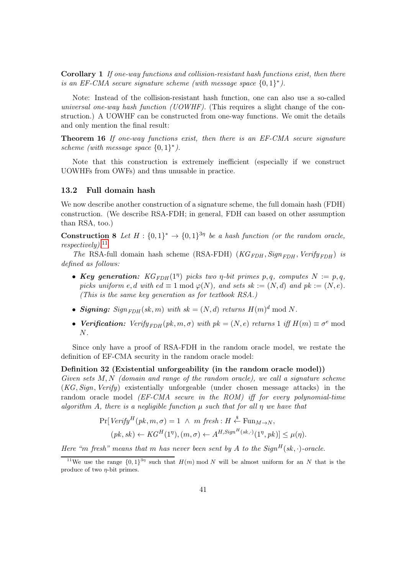<span id="page-40-3"></span>Corollary 1 If one-way functions and collision-resistant hash functions exist, then there is an EF-CMA secure signature scheme (with message space  $\{0,1\}^*$ ).

Note: Instead of the collision-resistant hash function, one can also use a so-called universal one-way hash function (UOWHF). (This requires a slight change of the construction.) A UOWHF can be constructed from one-way functions. We omit the details and only mention the final result:

Theorem 16 If one-way functions exist, then there is an EF-CMA secure signature scheme (with message space  $\{0,1\}^*$ ).

Note that this construction is extremely inefficient (especially if we construct UOWHFs from OWFs) and thus unusable in practice.

#### <span id="page-40-0"></span>13.2 Full domain hash

We now describe another construction of a signature scheme, the full domain hash (FDH) construction. (We describe RSA-FDH; in general, FDH can based on other assumption than RSA, too.)

**Construction 8** Let  $H : \{0,1\}^* \to \{0,1\}^{3\eta}$  be a hash function (or the random oracle,  $respectively).<sup>11</sup>$  $respectively).<sup>11</sup>$  $respectively).<sup>11</sup>$ 

The RSA-full domain hash scheme (RSA-FDH) ( $KG_{FDH}$ ,  $Sign_{FDH}$ ,  $Verify_{FDH}$ ) is defined as follows:

- Key generation:  $KG_{FDH}(1^{\eta})$  picks two  $\eta$ -bit primes  $p, q$ , computes  $N := p, q$ , picks uniform e, d with  $ed \equiv 1 \mod \varphi(N)$ , and sets  $sk := (N, d)$  and  $pk := (N, e)$ . (This is the same key generation as for textbook RSA.)
- Signing:  $Sign_{FDH}(sk, m)$  with  $sk = (N, d)$  returns  $H(m)^d \mod N$ .
- Verification:  $Verify_{FDH}(pk, m, \sigma)$  with  $pk = (N, e)$  returns 1 iff  $H(m) \equiv \sigma^e \mod$ N.

Since only have a proof of RSA-FDH in the random oracle model, we restate the definition of EF-CMA security in the random oracle model:

#### Definition 32 (Existential unforgeability (in the random oracle model))

Given sets  $M, N$  (domain and range of the random oracle), we call a signature scheme (KG, Sign, Verify) existentially unforgeable (under chosen message attacks) in the random oracle model *(EF-CMA secure in the ROM) iff for every polynomial-time* algorithm A, there is a negligible function  $\mu$  such that for all  $\eta$  we have that

<span id="page-40-1"></span>
$$
\Pr[Verify^H(pk, m, \sigma) = 1 \ \land \ m \ fresh : H \stackrel{\$}{\leftarrow} \text{Fun}_{M \to N},
$$

$$
(pk, sk) \leftarrow KG^H(1^{\eta}), (m, \sigma) \leftarrow A^{H, Sign^H(sk, \cdot)}(1^{\eta}, pk)] \leq \mu(\eta).
$$

Here "m fresh" means that m has never been sent by A to the  $Sign^H(s_k, \cdot)$ -oracle.

<span id="page-40-2"></span><sup>&</sup>lt;sup>11</sup>We use the range  $\{0,1\}^{3\eta}$  such that  $H(m) \text{ mod } N$  will be almost uniform for an N that is the produce of two  $\eta$ -bit primes.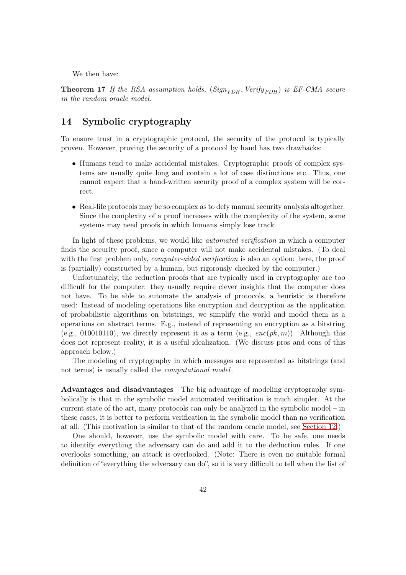<span id="page-41-1"></span>We then have:

**Theorem 17** If the RSA assumption holds,  $(Sign_{FDH}, Verify_{FDH})$  is EF-CMA secure in the random oracle model.

## <span id="page-41-0"></span>14 Symbolic cryptography

To ensure trust in a cryptographic protocol, the security of the protocol is typically proven. However, proving the security of a protocol by hand has two drawbacks:

- Humans tend to make accidental mistakes. Cryptographic proofs of complex systems are usually quite long and contain a lot of case distinctions etc. Thus, one cannot expect that a hand-written security proof of a complex system will be correct.
- Real-life protocols may be so complex as to defy manual security analysis altogether. Since the complexity of a proof increases with the complexity of the system, some systems may need proofs in which humans simply lose track.

In light of these problems, we would like automated verification in which a computer finds the security proof, since a computer will not make accidental mistakes. (To deal with the first problem only, *computer-aided verification* is also an option: here, the proof is (partially) constructed by a human, but rigorously checked by the computer.)

Unfortunately, the reduction proofs that are typically used in cryptography are too difficult for the computer: they usually require clever insights that the computer does not have. To be able to automate the analysis of protocols, a heuristic is therefore used: Instead of modeling operations like encryption and decryption as the application of probabilistic algorithms on bitstrings, we simplify the world and model them as a operations on abstract terms. E.g., instead of representing an encryption as a bitstring (e.g., 010010110), we directly represent it as a term (e.g.,  $enc(pk, m)$ ). Although this does not represent reality, it is a useful idealization. (We discuss pros and cons of this approach below.)

The modeling of cryptography in which messages are represented as bitstrings (and not terms) is usually called the computational model.

Advantages and disadvantages The big advantage of modeling cryptography symbolically is that in the symbolic model automated verification is much simpler. At the current state of the art, many protocols can only be analyzed in the symbolic model – in these cases, it is better to perform verification in the symbolic model than no verification at all. (This motivation is similar to that of the random oracle model, see [Section 12.](#page-33-0))

One should, however, use the symbolic model with care. To be safe, one needs to identify everything the adversary can do and add it to the deduction rules. If one overlooks something, an attack is overlooked. (Note: There is even no suitable formal definition of "everything the adversary can do", so it is very difficult to tell when the list of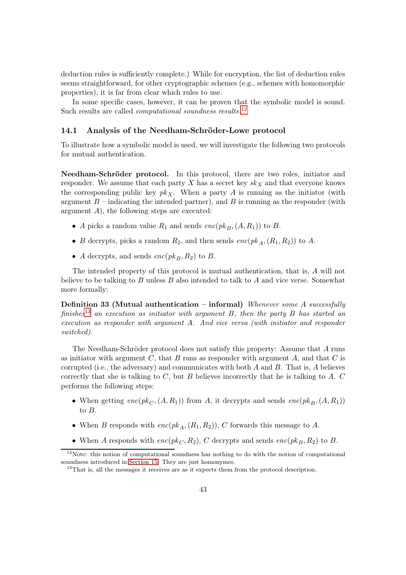<span id="page-42-3"></span>deduction rules is sufficiently complete.) While for encryption, the list of deduction rules seems straightforward, for other cryptographic schemes (e.g., schemes with homomorphic properties), it is far from clear which rules to use.

In some specific cases, however, it can be proven that the symbolic model is sound. Such results are called *computational soundness results*.<sup>[12](#page-42-1)</sup>

#### <span id="page-42-0"></span>14.1 Analysis of the Needham-Schröder-Lowe protocol

To illustrate how a symbolic model is used, we will investigate the following two protocols for mutual authentication.

Needham-Schröder protocol. In this protocol, there are two roles, initiator and responder. We assume that each party X has a secret key  $sk_X$  and that everyone knows the corresponding public key  $pk<sub>X</sub>$ . When a party A is running as the initiator (with argument  $B$  – indicating the intended partner), and  $B$  is running as the responder (with argument  $A$ ), the following steps are executed:

- A picks a random value  $R_1$  and sends  $enc(pk_B,(A, R_1))$  to B.
- B decrypts, picks a random  $R_2$ , and then sends  $enc(pk_A, (R_1, R_2))$  to A.
- A decrypts, and sends  $enc(pk_B, R_2)$  to B.

The intended property of this protocol is mutual authentication, that is, A will not believe to be talking to  $B$  unless  $B$  also intended to talk to  $A$  and vice verse. Somewhat more formally:

**Definition 33 (Mutual authentication – informal)** Whenever some A successfully finishes<sup>[13](#page-42-2)</sup> an execution as initiator with argument B, then the party B has started an execution as responder with argument A. And vice versa (with initiator and responder switched).

The Needham-Schröder protocol does not satisfy this property: Assume that A runs as initiator with argument C, that B runs as responder with argument A, and that C is corrupted (i.e., the adversary) and communicates with both  $A$  and  $B$ . That is,  $A$  believes correctly that she is talking to  $C$ , but  $B$  believes incorrectly that he is talking to  $A$ .  $C$ performs the following steps:

- When getting  $enc(pk_{C_1}(A, R_1))$  from A, it decrypts and sends  $enc(pk_{B_1}(A, R_1))$ to B.
- When B responds with  $enc(pk_A, (R_1, R_2))$ , C forwards this message to A.
- When A responds with  $enc(pk_C, R_2)$ , C decrypts and sends  $enc(pk_B, R_2)$  to B.

<sup>&</sup>lt;sup>12</sup>Note: this notion of computational soundness has nothing to do with the notion of computational soundness introduced in [Section 15.](#page-45-0) They are just homonymes.

<span id="page-42-2"></span><span id="page-42-1"></span><sup>&</sup>lt;sup>13</sup>That is, all the messages it receives are as it expects them from the protocol description.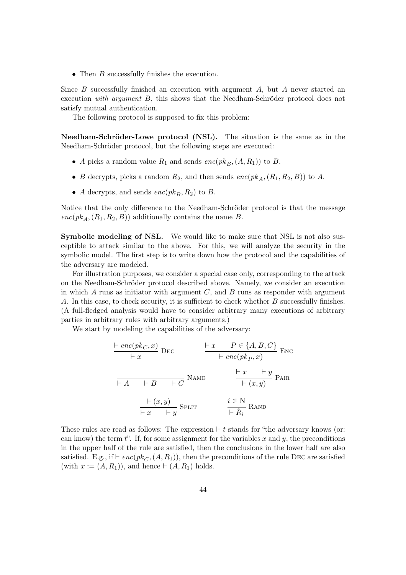<span id="page-43-0"></span>• Then B successfully finishes the execution.

Since  $B$  successfully finished an execution with argument  $A$ , but  $A$  never started an execution with argument B, this shows that the Needham-Schröder protocol does not satisfy mutual authentication.

The following protocol is supposed to fix this problem:

Needham-Schröder-Lowe protocol (NSL). The situation is the same as in the Needham-Schröder protocol, but the following steps are executed:

- A picks a random value  $R_1$  and sends  $enc(pk_B,(A, R_1))$  to B.
- B decrypts, picks a random  $R_2$ , and then sends  $enc(pk_A, (R_1, R_2, B))$  to A.
- A decrypts, and sends  $enc(pk_B, R_2)$  to B.

Notice that the only difference to the Needham-Schröder protocol is that the message  $enc(pk_A, (R_1, R_2, B))$  additionally contains the name B.

Symbolic modeling of NSL. We would like to make sure that NSL is not also susceptible to attack similar to the above. For this, we will analyze the security in the symbolic model. The first step is to write down how the protocol and the capabilities of the adversary are modeled.

For illustration purposes, we consider a special case only, corresponding to the attack on the Needham-Schröder protocol described above. Namely, we consider an execution in which  $A$  runs as initiator with argument  $C$ , and  $B$  runs as responder with argument A. In this case, to check security, it is sufficient to check whether B successfully finishes. (A full-fledged analysis would have to consider arbitrary many executions of arbitrary parties in arbitrary rules with arbitrary arguments.)

We start by modeling the capabilities of the adversary:

<span id="page-43-1"></span>
$$
\frac{\vdash enc(pk_C, x)}{\vdash x} \text{ DEC} \qquad \frac{\vdash x \quad P \in \{A, B, C\}}{\vdash enc(pk_P, x)} \text{ENC}
$$
\n
$$
\frac{\vdash x \quad P \in \{A, B, C\}}{\vdash enc(pk_P, x)} \text{ENC}
$$
\n
$$
\frac{\vdash x \quad \vdash y}{\vdash (x, y)} \text{PAR}
$$
\n
$$
\frac{\vdash x \quad \vdash y}{\vdash (x, y)} \text{PAR}
$$
\n
$$
\frac{\vdash (x, y)}{\vdash x \quad \vdash y} \text{SPLIT} \qquad \frac{i \in \mathbb{N}}{\vdash \hat{R}_i} \text{RAND}
$$

These rules are read as follows: The expression  $\vdash t$  stands for "the adversary knows (or: can know) the term t". If, for some assignment for the variables x and y, the preconditions in the upper half of the rule are satisfied, then the conclusions in the lower half are also satisfied. E.g., if  $\vdash enc(pk_C, (A, R_1))$ , then the preconditions of the rule DEC are satisfied (with  $x := (A, R_1)$ ), and hence  $\vdash (A, R_1)$  holds.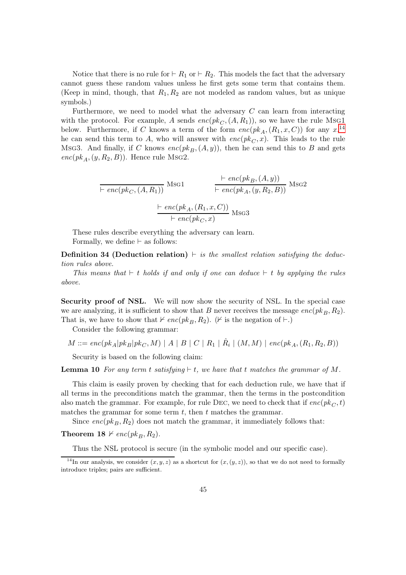<span id="page-44-1"></span>Notice that there is no rule for  $\vdash R_1$  or  $\vdash R_2$ . This models the fact that the adversary cannot guess these random values unless he first gets some term that contains them. (Keep in mind, though, that  $R_1, R_2$  are not modeled as random values, but as unique symbols.)

Furthermore, we need to model what the adversary C can learn from interacting with the protocol. For example, A sends  $enc(pk_C, (A, R_1))$ , so we have the rule MsG1 below. Furthermore, if C knows a term of the form  $enc(pk_A,(R_1,x, C))$  for any  $x,$ <sup>[14](#page-44-0)</sup>, he can send this term to A, who will answer with  $enc(pk_C, x)$ . This leads to the rule Msg3. And finally, if C knows  $enc(pk_B,(A, y))$ , then he can send this to B and gets  $enc(pk_A, (y, R_2, B))$ . Hence rule MsG2.

$$
\frac{\vdash enc(pk_B,(A,y))}{\vdash enc(pk_C,(A,R_1))} \text{Msg1} \qquad \frac{\vdash enc(pk_B,(A,y))}{\vdash enc(pk_A,(y,R_2,B))} \text{Msg2}
$$

$$
\frac{\vdash enc(pk_A,(R_1,x,C))}{\vdash enc(pk_C,x)} \text{Msg3}
$$

These rules describe everything the adversary can learn. Formally, we define  $\vdash$  as follows:

**Definition 34 (Deduction relation)** ⊢ is the smallest relation satisfying the deduction rules above.

This means that  $⊩ t$  holds if and only if one can deduce  $⊢ t$  by applying the rules above.

Security proof of NSL. We will now show the security of NSL. In the special case we are analyzing, it is sufficient to show that B never receives the message  $enc(pk_B, R_2)$ . That is, we have to show that  $\nvDash enc(pk_B, R_2)$ . ( $\nvdash$  is the negation of  $\vdash$ .)

Consider the following grammar:

 $M ::= enc(pk_A|pk_B|pk_C, M) | A | B | C | R_1 | \hat{R}_i | (M, M) | enc(pk_A, (R_1, R_2, B))$ 

Security is based on the following claim:

**Lemma 10** For any term t satisfying  $\vdash t$ , we have that t matches the grammar of M.

This claim is easily proven by checking that for each deduction rule, we have that if all terms in the preconditions match the grammar, then the terms in the postcondition also match the grammar. For example, for rule DEC, we need to check that if  $enc(pk_C, t)$ matches the grammar for some term  $t$ , then  $t$  matches the grammar.

Since  $enc(pk_B, R_2)$  does not match the grammar, it immediately follows that:

Theorem 18  $\nvdash enc(pk_B, R_2)$ .

Thus the NSL protocol is secure (in the symbolic model and our specific case).

<span id="page-44-0"></span><sup>&</sup>lt;sup>14</sup>In our analysis, we consider  $(x, y, z)$  as a shortcut for  $(x, (y, z))$ , so that we do not need to formally introduce triples; pairs are sufficient.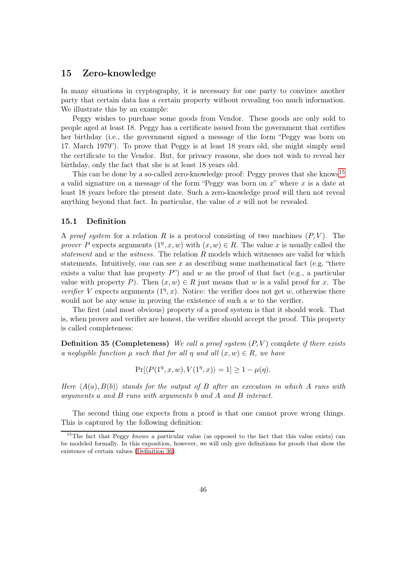## <span id="page-45-4"></span><span id="page-45-0"></span>15 Zero-knowledge

In many situations in cryptography, it is necessary for one party to convince another party that certain data has a certain property without revealing too much information. We illustrate this by an example:

Peggy wishes to purchase some goods from Vendor. These goods are only sold to people aged at least 18. Peggy has a certificate issued from the government that certifies her birthday (i.e., the government signed a message of the form "Peggy was born on 17. March 1979"). To prove that Peggy is at least 18 years old, she might simply send the certificate to the Vendor. But, for privacy reasons, she does not wish to reveal her birthday, only the fact that she is at least 18 years old.

This can be done by a so-called zero-knowledge proof: Peggy proves that she knows<sup>[15](#page-45-2)</sup> a valid signature on a message of the form "Peggy was born on  $x$ " where  $x$  is a date at least 18 years before the present date. Such a zero-knowledge proof will then not reveal anything beyond that fact. In particular, the value of  $x$  will not be revealed.

#### <span id="page-45-1"></span>15.1 Definition

A proof system for a relation R is a protocol consisting of two machines  $(P, V)$ . The prover P expects arguments  $(1^n, x, w)$  with  $(x, w) \in R$ . The value x is usually called the statement and w the witness. The relation R models which witnesses are valid for which statements. Intuitively, one can see x as describing some mathematical fact (e.g, "there exists a value that has property  $P$ ") and w as the proof of that fact (e.g., a particular value with property P). Then  $(x, w) \in R$  just means that w is a valid proof for x. The verifier V expects arguments  $(1^n, x)$ . Notice: the verifier does not get w, otherwise there would not be any sense in proving the existence of such a w to the verifier.

The first (and most obvious) property of a proof system is that it should work. That is, when prover and verifier are honest, the verifier should accept the proof. This property is called completeness:

**Definition 35 (Completeness)** We call a proof system  $(P, V)$  complete if there exists a negligible function  $\mu$  such that for all  $\eta$  and all  $(x, w) \in R$ , we have

<span id="page-45-5"></span><span id="page-45-3"></span>
$$
\Pr[\langle P(1^{\eta}, x, w), V(1^{\eta}, x) \rangle = 1] \ge 1 - \mu(\eta).
$$

Here  $\langle A(a), B(b) \rangle$  stands for the output of B after an execution in which A runs with arguments a and B runs with arguments b and A and B interact.

The second thing one expects from a proof is that one cannot prove wrong things. This is captured by the following definition:

<span id="page-45-2"></span><sup>&</sup>lt;sup>15</sup>The fact that Peggy knows a particular value (as opposed to the fact that this value exists) can be modeled formally. In this exposition, however, we will only give definitions for proofs that show the existence of certain values [\(Definition 36\)](#page-45-3).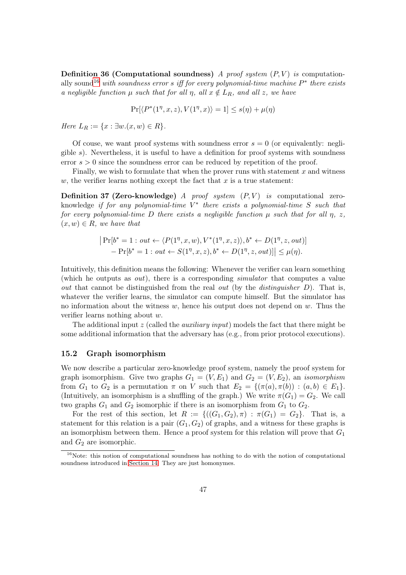<span id="page-46-3"></span>Definition 36 (Computational soundness) A proof system  $(P, V)$  is computation-ally sound<sup>[16](#page-46-1)</sup> with soundness error s iff for every polynomial-time machine  $P^*$  there exists a negligible function  $\mu$  such that for all  $\eta$ , all  $x \notin L_R$ , and all z, we have

$$
\Pr[\langle P^*(1^\eta,x,z), V(1^\eta,x)\rangle = 1] \leq s(\eta) + \mu(\eta)
$$

Here  $L_R := \{x : \exists w.(x, w) \in R\}.$ 

Of couse, we want proof systems with soundness error  $s = 0$  (or equivalently: negligible  $s$ ). Nevertheless, it is useful to have a definition for proof systems with soundness error  $s > 0$  since the soundness error can be reduced by repetition of the proof.

Finally, we wish to formulate that when the prover runs with statement  $x$  and witness w, the verifier learns nothing except the fact that  $x$  is a true statement:

**Definition 37 (Zero-knowledge)** A proof system  $(P, V)$  is computational zeroknowledge if for any polynomial-time  $V^*$  there exists a polynomial-time S such that for every polynomial-time D there exists a negligible function  $\mu$  such that for all  $\eta$ ,  $z$ ,  $(x, w) \in R$ , we have that

$$
|\Pr[b^* = 1 : out \leftarrow \langle P(1^n, x, w), V^*(1^n, x, z) \rangle, b^* \leftarrow D(1^n, z, out)] - \Pr[b^* = 1 : out \leftarrow S(1^n, x, z), b^* \leftarrow D(1^n, z, out)] | \leq \mu(\eta).
$$

Intuitively, this definition means the following: Whenever the verifier can learn something (which he outputs as out), there is a corresponding simulator that computes a value out that cannot be distinguished from the real out (by the distinguisher  $D$ ). That is, whatever the verifier learns, the simulator can compute himself. But the simulator has no information about the witness  $w$ , hence his output does not depend on  $w$ . Thus the verifier learns nothing about w.

The additional input z (called the *auxiliary input*) models the fact that there might be some additional information that the adversary has (e.g., from prior protocol executions).

#### <span id="page-46-0"></span>15.2 Graph isomorphism

We now describe a particular zero-knowledge proof system, namely the proof system for graph isomorphism. Give two graphs  $G_1 = (V, E_1)$  and  $G_2 = (V, E_2)$ , an *isomorphism* from  $G_1$  to  $G_2$  is a permutation  $\pi$  on V such that  $E_2 = \{(\pi(a), \pi(b)) : (a, b) \in E_1\}.$ (Intuitively, an isomorphism is a shuffling of the graph.) We write  $\pi(G_1) = G_2$ . We call two graphs  $G_1$  and  $G_2$  isomorphic if there is an isomorphism from  $G_1$  to  $G_2$ .

For the rest of this section, let  $R := \{((G_1, G_2), \pi) : \pi(G_1) = G_2\}.$  That is, a statement for this relation is a pair  $(G_1, G_2)$  of graphs, and a witness for these graphs is an isomorphism between them. Hence a proof system for this relation will prove that  $G_1$ and  $G_2$  are isomorphic.

<span id="page-46-2"></span><span id="page-46-1"></span><sup>&</sup>lt;sup>16</sup>Note: this notion of computational soundness has nothing to do with the notion of computational soundness introduced in [Section 14.](#page-41-0) They are just homonymes.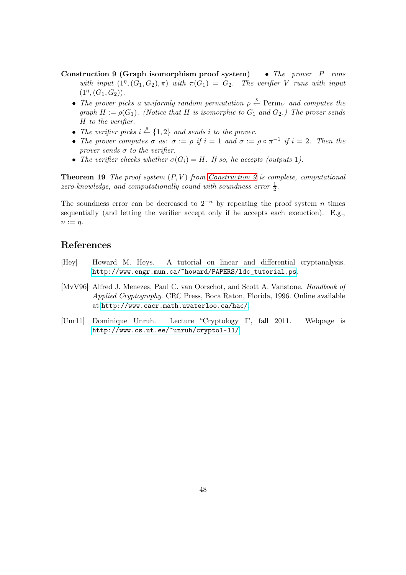- Construction 9 (Graph isomorphism proof system) The prover P runs with input  $(1^n, (G_1, G_2), \pi)$  with  $\pi(G_1) = G_2$ . The verifier V runs with input  $(1^{\eta},(G_1,G_2)).$ 
	- The prover picks a uniformly random permutation  $\rho \overset{\hspace{0.1em}\mathsf{\scriptscriptstyle\$}}{\leftarrow}$  Perm<sub>V</sub> and computes the graph  $H := \rho(G_1)$ . (Notice that H is isomorphic to  $G_1$  and  $G_2$ .) The prover sends H to the verifier.
	- The verifier picks  $i \stackrel{\$}{\leftarrow} \{1,2\}$  and sends i to the prover.
	- The prover computes  $\sigma$  as:  $\sigma := \rho$  if  $i = 1$  and  $\sigma := \rho \circ \pi^{-1}$  if  $i = 2$ . Then the prover sends  $\sigma$  to the verifier.
	- The verifier checks whether  $\sigma(G_i) = H$ . If so, he accepts (outputs 1).

**Theorem 19** The proof system  $(P, V)$  from [Construction 9](#page-46-2) is complete, computational zero-knowledge, and computationally sound with soundness error  $\frac{1}{2}$ .

The soundness error can be decreased to  $2^{-n}$  by repeating the proof system n times sequentially (and letting the verifier accept only if he accepts each exeuction). E.g.,  $n := \eta$ .

## References

- <span id="page-47-1"></span>[Hey] Howard M. Heys. A tutorial on linear and differential cryptanalysis. [http://www.engr.mun.ca/~howard/PAPERS/ldc\\_tutorial.ps](http://www.engr.mun.ca/~howard/PAPERS/ldc_tutorial.ps).
- <span id="page-47-0"></span>[MvV96] Alfred J. Menezes, Paul C. van Oorschot, and Scott A. Vanstone. Handbook of Applied Cryptography. CRC Press, Boca Raton, Florida, 1996. Online available at <http://www.cacr.math.uwaterloo.ca/hac/>.
- [Unr11] Dominique Unruh. Lecture "Cryptology I", fall 2011. Webpage is <http://www.cs.ut.ee/~unruh/crypto1-11/>.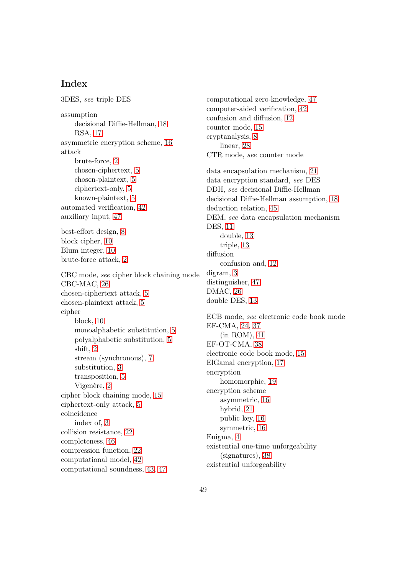## Index

3DES, see triple DES assumption decisional Diffie-Hellman, [18](#page-17-0) RSA, [17](#page-16-5) asymmetric encryption scheme, [16](#page-15-2) attack brute-force, [2](#page-1-2) chosen-ciphertext, [5](#page-4-2) chosen-plaintext, [5](#page-4-2) ciphertext-only, [5](#page-4-2) known-plaintext, [5](#page-4-2) automated verification, [42](#page-41-1) auxiliary input, [47](#page-46-3) best-effort design, [8](#page-7-4) block cipher, [10](#page-9-5) Blum integer, [10](#page-9-5) brute-force attack, [2](#page-1-2) CBC mode, see cipher block chaining mode CBC-MAC, [26](#page-25-0) chosen-ciphertext attack, [5](#page-4-2) chosen-plaintext attack, [5](#page-4-2) cipher block, [10](#page-9-5) monoalphabetic substitution, [5](#page-4-2) polyalphabetic substitution, [5](#page-4-2) shift, [2](#page-1-2) stream (synchronous), [7](#page-6-2) substitution, [3](#page-2-0) transposition, [5](#page-4-2) Vigenère, [2](#page-1-2) cipher block chaining mode, [15](#page-14-1) ciphertext-only attack, [5](#page-4-2) coincidence index of, [3](#page-2-0) collision resistance, [22](#page-21-2) completeness, [46](#page-45-4) compression function, [22](#page-21-2) computational model, [42](#page-41-1) computational soundness, [43,](#page-42-3) [47](#page-46-3)

linear, [28](#page-27-1) CTR mode, see counter mode data encapsulation mechanism, [21](#page-20-2) data encryption standard, see DES DDH, see decisional Diffie-Hellman decisional Diffie-Hellman assumption, [18](#page-17-0) deduction relation, [45](#page-44-1) DEM, see data encapsulation mechanism DES, [11](#page-10-1) double, [13](#page-12-1) triple, [13](#page-12-1) diffusion confusion and, [12](#page-11-1) digram, [3](#page-2-0) distinguisher, [47](#page-46-3) DMAC, [26](#page-25-0) double DES, [13](#page-12-1) ECB mode, see electronic code book mode EF-CMA, [24,](#page-23-3) [37](#page-36-2) (in ROM), [41](#page-40-3) EF-OT-CMA, [38](#page-37-2) electronic code book mode, [15](#page-14-1) ElGamal encryption, [17](#page-16-5) encryption homomorphic, [19](#page-18-2) encryption scheme asymmetric, [16](#page-15-2)

computational zero-knowledge, [47](#page-46-3) computer-aided verification, [42](#page-41-1) confusion and diffusion, [12](#page-11-1)

counter mode, [15](#page-14-1) cryptanalysis, [8](#page-7-4)

hybrid, [21](#page-20-2) public key, [16](#page-15-2) symmetric, [16](#page-15-2) Enigma, [4](#page-3-1) existential one-time unforgeability (signatures), [38](#page-37-2) existential unforgeability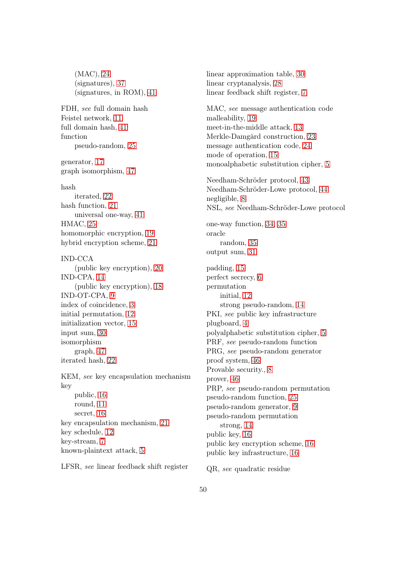(MAC), [24](#page-23-3) (signatures), [37](#page-36-2) (signatures, in ROM), [41](#page-40-3) FDH, see full domain hash Feistel network, [11](#page-10-1) full domain hash, [41](#page-40-3) function pseudo-random, [25](#page-24-0) generator, [17](#page-16-5) graph isomorphism, [47](#page-46-3) hash iterated, [22](#page-21-2) hash function, [21](#page-20-2) universal one-way, [41](#page-40-3) HMAC, [25](#page-24-0) homomorphic encryption, [19](#page-18-2) hybrid encryption scheme, [21](#page-20-2) IND-CCA (public key encryption), [20](#page-19-0) IND-CPA, [14](#page-13-3) (public key encryption), [18](#page-17-0) IND-OT-CPA, [9](#page-8-5) index of coincidence, [3](#page-2-0) initial permutation, [12](#page-11-1) initialization vector, [15](#page-14-1) input sum, [30](#page-29-3) isomorphism graph, [47](#page-46-3) iterated hash, [22](#page-21-2) KEM, see key encapsulation mechanism key public, [16](#page-15-2) round, [11](#page-10-1) secret, [16](#page-15-2) key encapsulation mechanism, [21](#page-20-2) key schedule, [12](#page-11-1) key-stream, [7](#page-6-2) known-plaintext attack, [5](#page-4-2)

linear approximation table, [30](#page-29-3) linear cryptanalysis, [28](#page-27-1) linear feedback shift register, [7](#page-6-2) MAC, see message authentication code malleability, [19](#page-18-2) meet-in-the-middle attack, [13](#page-12-1) Merkle-Damgård construction, [23](#page-22-2) message authentication code, [24](#page-23-3) mode of operation, [15](#page-14-1) monoalphabetic substitution cipher, [5](#page-4-2) Needham-Schröder protocol, [43](#page-42-3) Needham-Schröder-Lowe protocol, [44](#page-43-0) negligible, [8](#page-7-4) NSL, see Needham-Schröder-Lowe protocol one-way function, [34,](#page-33-7) [35](#page-34-1) oracle random, [35](#page-34-1) output sum, [31](#page-30-0) padding, [15](#page-14-1) perfect secrecy, [6](#page-5-1) permutation initial, [12](#page-11-1) strong pseudo-random, [14](#page-13-3) PKI, see public key infrastructure plugboard, [4](#page-3-1) polyalphabetic substitution cipher, [5](#page-4-2) PRF, see pseudo-random function PRG, see pseudo-random generator proof system, [46](#page-45-4) Provable security., [8](#page-7-4) prover, [46](#page-45-4) PRP, see pseudo-random permutation pseudo-random function, [25](#page-24-0) pseudo-random generator, [9](#page-8-5) pseudo-random permutation strong, [14](#page-13-3) public key, [16](#page-15-2)

LFSR, see linear feedback shift register

QR, see quadratic residue

public key encryption scheme, [16](#page-15-2) public key infrastructure, [16](#page-15-2)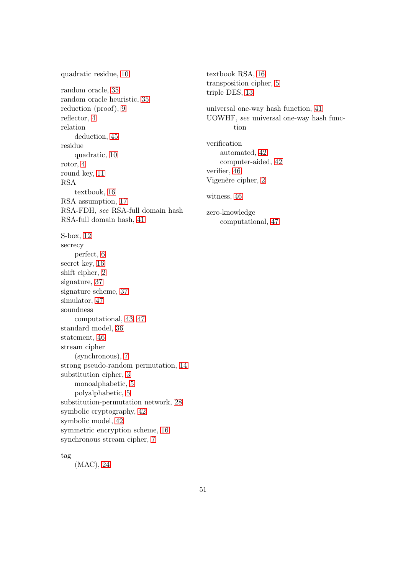quadratic residue, [10](#page-9-5) random oracle, [35](#page-34-1) random oracle heuristic, [35](#page-34-1) reduction (proof), [9](#page-8-5) reflector, [4](#page-3-1) relation deduction, [45](#page-44-1) residue quadratic, [10](#page-9-5) rotor, [4](#page-3-1) round key, [11](#page-10-1) RSA textbook, [16](#page-15-2) RSA assumption, [17](#page-16-5) RSA-FDH, see RSA-full domain hash RSA-full domain hash, [41](#page-40-3) S-box, [12](#page-11-1) secrecy perfect, [6](#page-5-1) secret key, [16](#page-15-2) shift cipher, [2](#page-1-2) signature, [37](#page-36-2) signature scheme, [37](#page-36-2) simulator, [47](#page-46-3) soundness computational, [43,](#page-42-3) [47](#page-46-3) standard model, [36](#page-35-0) statement, [46](#page-45-4) stream cipher (synchronous), [7](#page-6-2) strong pseudo-random permutation, [14](#page-13-3) substitution cipher, [3](#page-2-0) monoalphabetic, [5](#page-4-2) polyalphabetic, [5](#page-4-2) substitution-permutation network, [28](#page-27-1) symbolic cryptography, [42](#page-41-1) symbolic model, [42](#page-41-1) symmetric encryption scheme, [16](#page-15-2) synchronous stream cipher, [7](#page-6-2)

# universal one-way hash function, [41](#page-40-3) UOWHF, see universal one-way hash function verification automated, [42](#page-41-1) computer-aided, [42](#page-41-1) verifier, [46](#page-45-4) Vigenère cipher, [2](#page-1-2) witness, [46](#page-45-4) zero-knowledge computational, [47](#page-46-3)

textbook RSA, [16](#page-15-2) transposition cipher, [5](#page-4-2)

triple DES, [13](#page-12-1)

tag

(MAC), [24](#page-23-3)